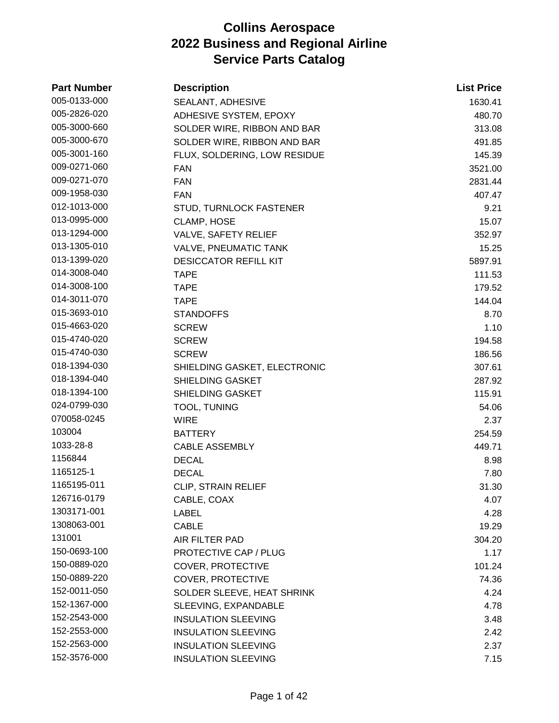| <b>Part Number</b> | <b>Description</b>           | <b>List Price</b> |
|--------------------|------------------------------|-------------------|
| 005-0133-000       | SEALANT, ADHESIVE            | 1630.41           |
| 005-2826-020       | ADHESIVE SYSTEM, EPOXY       | 480.70            |
| 005-3000-660       | SOLDER WIRE, RIBBON AND BAR  | 313.08            |
| 005-3000-670       | SOLDER WIRE, RIBBON AND BAR  | 491.85            |
| 005-3001-160       | FLUX, SOLDERING, LOW RESIDUE | 145.39            |
| 009-0271-060       | <b>FAN</b>                   | 3521.00           |
| 009-0271-070       | <b>FAN</b>                   | 2831.44           |
| 009-1958-030       | <b>FAN</b>                   | 407.47            |
| 012-1013-000       | STUD, TURNLOCK FASTENER      | 9.21              |
| 013-0995-000       | CLAMP, HOSE                  | 15.07             |
| 013-1294-000       | VALVE, SAFETY RELIEF         | 352.97            |
| 013-1305-010       | <b>VALVE, PNEUMATIC TANK</b> | 15.25             |
| 013-1399-020       | <b>DESICCATOR REFILL KIT</b> | 5897.91           |
| 014-3008-040       | <b>TAPE</b>                  | 111.53            |
| 014-3008-100       | <b>TAPE</b>                  | 179.52            |
| 014-3011-070       | <b>TAPE</b>                  | 144.04            |
| 015-3693-010       | <b>STANDOFFS</b>             | 8.70              |
| 015-4663-020       | <b>SCREW</b>                 | 1.10              |
| 015-4740-020       | <b>SCREW</b>                 | 194.58            |
| 015-4740-030       | <b>SCREW</b>                 | 186.56            |
| 018-1394-030       | SHIELDING GASKET, ELECTRONIC | 307.61            |
| 018-1394-040       | SHIELDING GASKET             | 287.92            |
| 018-1394-100       | <b>SHIELDING GASKET</b>      | 115.91            |
| 024-0799-030       | TOOL, TUNING                 | 54.06             |
| 070058-0245        | WIRE                         | 2.37              |
| 103004             | <b>BATTERY</b>               | 254.59            |
| 1033-28-8          | <b>CABLE ASSEMBLY</b>        | 449.71            |
| 1156844            | <b>DECAL</b>                 | 8.98              |
| 1165125-1          | <b>DECAL</b>                 | 7.80              |
| 1165195-011        | CLIP, STRAIN RELIEF          | 31.30             |
| 126716-0179        | CABLE, COAX                  | 4.07              |
| 1303171-001        | <b>LABEL</b>                 | 4.28              |
| 1308063-001        | <b>CABLE</b>                 | 19.29             |
| 131001             | AIR FILTER PAD               | 304.20            |
| 150-0693-100       | <b>PROTECTIVE CAP / PLUG</b> | 1.17              |
| 150-0889-020       | COVER, PROTECTIVE            | 101.24            |
| 150-0889-220       | COVER, PROTECTIVE            | 74.36             |
| 152-0011-050       | SOLDER SLEEVE, HEAT SHRINK   | 4.24              |
| 152-1367-000       | SLEEVING, EXPANDABLE         | 4.78              |
| 152-2543-000       | <b>INSULATION SLEEVING</b>   | 3.48              |
| 152-2553-000       | <b>INSULATION SLEEVING</b>   | 2.42              |
| 152-2563-000       | <b>INSULATION SLEEVING</b>   | 2.37              |
| 152-3576-000       | <b>INSULATION SLEEVING</b>   | 7.15              |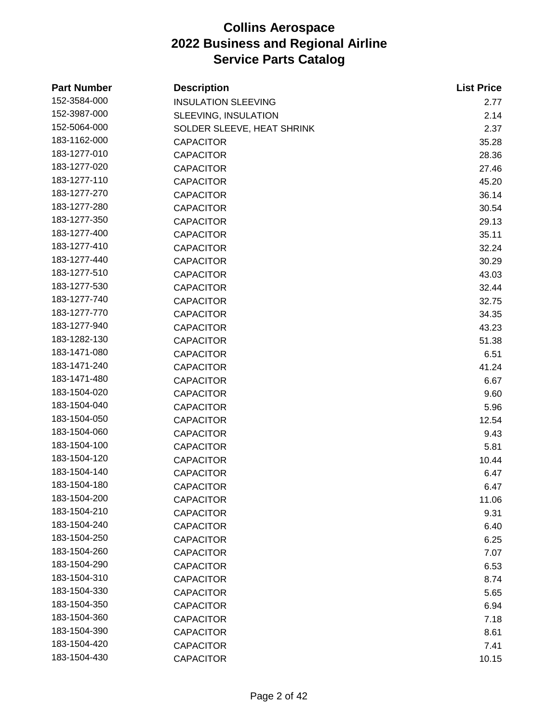| <b>Part Number</b> | <b>Description</b>         | <b>List Price</b> |
|--------------------|----------------------------|-------------------|
| 152-3584-000       | <b>INSULATION SLEEVING</b> | 2.77              |
| 152-3987-000       | SLEEVING, INSULATION       | 2.14              |
| 152-5064-000       | SOLDER SLEEVE, HEAT SHRINK | 2.37              |
| 183-1162-000       | <b>CAPACITOR</b>           | 35.28             |
| 183-1277-010       | <b>CAPACITOR</b>           | 28.36             |
| 183-1277-020       | <b>CAPACITOR</b>           | 27.46             |
| 183-1277-110       | <b>CAPACITOR</b>           | 45.20             |
| 183-1277-270       | <b>CAPACITOR</b>           | 36.14             |
| 183-1277-280       | <b>CAPACITOR</b>           | 30.54             |
| 183-1277-350       | <b>CAPACITOR</b>           | 29.13             |
| 183-1277-400       | <b>CAPACITOR</b>           | 35.11             |
| 183-1277-410       | <b>CAPACITOR</b>           | 32.24             |
| 183-1277-440       | <b>CAPACITOR</b>           | 30.29             |
| 183-1277-510       | <b>CAPACITOR</b>           | 43.03             |
| 183-1277-530       | <b>CAPACITOR</b>           | 32.44             |
| 183-1277-740       | <b>CAPACITOR</b>           | 32.75             |
| 183-1277-770       | <b>CAPACITOR</b>           | 34.35             |
| 183-1277-940       | <b>CAPACITOR</b>           | 43.23             |
| 183-1282-130       | <b>CAPACITOR</b>           | 51.38             |
| 183-1471-080       | <b>CAPACITOR</b>           | 6.51              |
| 183-1471-240       | <b>CAPACITOR</b>           | 41.24             |
| 183-1471-480       | <b>CAPACITOR</b>           | 6.67              |
| 183-1504-020       | <b>CAPACITOR</b>           | 9.60              |
| 183-1504-040       | <b>CAPACITOR</b>           | 5.96              |
| 183-1504-050       | <b>CAPACITOR</b>           | 12.54             |
| 183-1504-060       | <b>CAPACITOR</b>           | 9.43              |
| 183-1504-100       | <b>CAPACITOR</b>           | 5.81              |
| 183-1504-120       | <b>CAPACITOR</b>           | 10.44             |
| 183-1504-140       | <b>CAPACITOR</b>           | 6.47              |
| 183-1504-180       | <b>CAPACITOR</b>           | 6.47              |
| 183-1504-200       | <b>CAPACITOR</b>           | 11.06             |
| 183-1504-210       | <b>CAPACITOR</b>           | 9.31              |
| 183-1504-240       | <b>CAPACITOR</b>           | 6.40              |
| 183-1504-250       | <b>CAPACITOR</b>           | 6.25              |
| 183-1504-260       | <b>CAPACITOR</b>           | 7.07              |
| 183-1504-290       | <b>CAPACITOR</b>           | 6.53              |
| 183-1504-310       | <b>CAPACITOR</b>           | 8.74              |
| 183-1504-330       | <b>CAPACITOR</b>           | 5.65              |
| 183-1504-350       | <b>CAPACITOR</b>           | 6.94              |
| 183-1504-360       | <b>CAPACITOR</b>           | 7.18              |
| 183-1504-390       | <b>CAPACITOR</b>           | 8.61              |
| 183-1504-420       | <b>CAPACITOR</b>           | 7.41              |
| 183-1504-430       | <b>CAPACITOR</b>           | 10.15             |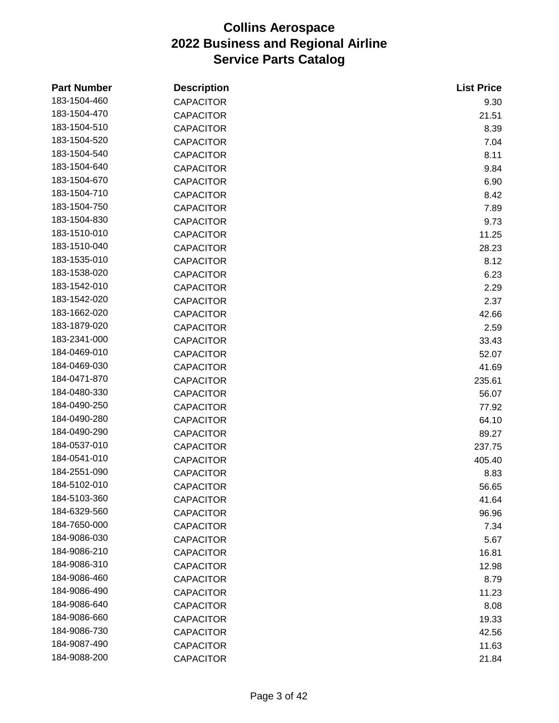| <b>Part Number</b> | <b>Description</b> | <b>List Price</b> |
|--------------------|--------------------|-------------------|
| 183-1504-460       | <b>CAPACITOR</b>   | 9.30              |
| 183-1504-470       | <b>CAPACITOR</b>   | 21.51             |
| 183-1504-510       | <b>CAPACITOR</b>   | 8.39              |
| 183-1504-520       | <b>CAPACITOR</b>   | 7.04              |
| 183-1504-540       | <b>CAPACITOR</b>   | 8.11              |
| 183-1504-640       | <b>CAPACITOR</b>   | 9.84              |
| 183-1504-670       | <b>CAPACITOR</b>   | 6.90              |
| 183-1504-710       | <b>CAPACITOR</b>   | 8.42              |
| 183-1504-750       | <b>CAPACITOR</b>   | 7.89              |
| 183-1504-830       | <b>CAPACITOR</b>   | 9.73              |
| 183-1510-010       | <b>CAPACITOR</b>   | 11.25             |
| 183-1510-040       | <b>CAPACITOR</b>   | 28.23             |
| 183-1535-010       | <b>CAPACITOR</b>   | 8.12              |
| 183-1538-020       | <b>CAPACITOR</b>   | 6.23              |
| 183-1542-010       | <b>CAPACITOR</b>   | 2.29              |
| 183-1542-020       | <b>CAPACITOR</b>   | 2.37              |
| 183-1662-020       | <b>CAPACITOR</b>   | 42.66             |
| 183-1879-020       | <b>CAPACITOR</b>   | 2.59              |
| 183-2341-000       | <b>CAPACITOR</b>   | 33.43             |
| 184-0469-010       | <b>CAPACITOR</b>   | 52.07             |
| 184-0469-030       | <b>CAPACITOR</b>   | 41.69             |
| 184-0471-870       | <b>CAPACITOR</b>   | 235.61            |
| 184-0480-330       | <b>CAPACITOR</b>   | 56.07             |
| 184-0490-250       | <b>CAPACITOR</b>   | 77.92             |
| 184-0490-280       | <b>CAPACITOR</b>   | 64.10             |
| 184-0490-290       | <b>CAPACITOR</b>   | 89.27             |
| 184-0537-010       | <b>CAPACITOR</b>   | 237.75            |
| 184-0541-010       | <b>CAPACITOR</b>   | 405.40            |
| 184-2551-090       | <b>CAPACITOR</b>   | 8.83              |
| 184-5102-010       | <b>CAPACITOR</b>   | 56.65             |
| 184-5103-360       | <b>CAPACITOR</b>   | 41.64             |
| 184-6329-560       | <b>CAPACITOR</b>   | 96.96             |
| 184-7650-000       | <b>CAPACITOR</b>   | 7.34              |
| 184-9086-030       | <b>CAPACITOR</b>   | 5.67              |
| 184-9086-210       | <b>CAPACITOR</b>   | 16.81             |
| 184-9086-310       | <b>CAPACITOR</b>   | 12.98             |
| 184-9086-460       | <b>CAPACITOR</b>   | 8.79              |
| 184-9086-490       | <b>CAPACITOR</b>   | 11.23             |
| 184-9086-640       | <b>CAPACITOR</b>   | 8.08              |
| 184-9086-660       | <b>CAPACITOR</b>   | 19.33             |
| 184-9086-730       | <b>CAPACITOR</b>   | 42.56             |
| 184-9087-490       | <b>CAPACITOR</b>   | 11.63             |
| 184-9088-200       | CAPACITOR          | 21.84             |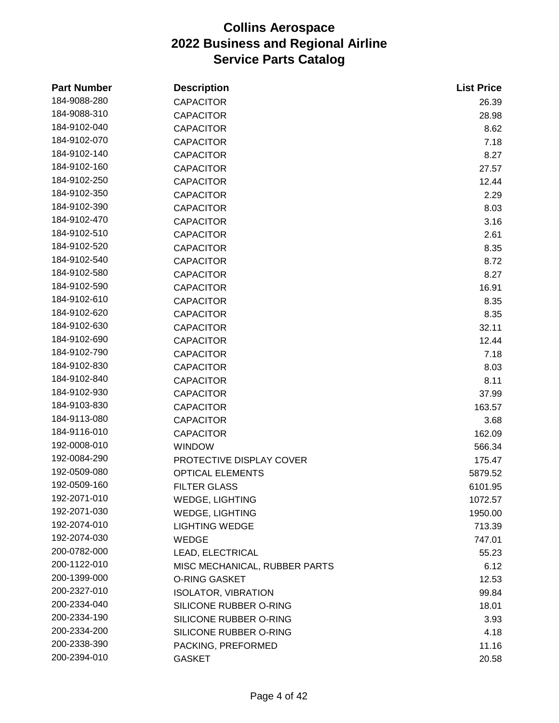| <b>Part Number</b> | <b>Description</b>            | <b>List Price</b> |
|--------------------|-------------------------------|-------------------|
| 184-9088-280       | <b>CAPACITOR</b>              | 26.39             |
| 184-9088-310       | <b>CAPACITOR</b>              | 28.98             |
| 184-9102-040       | <b>CAPACITOR</b>              | 8.62              |
| 184-9102-070       | <b>CAPACITOR</b>              | 7.18              |
| 184-9102-140       | <b>CAPACITOR</b>              | 8.27              |
| 184-9102-160       | <b>CAPACITOR</b>              | 27.57             |
| 184-9102-250       | <b>CAPACITOR</b>              | 12.44             |
| 184-9102-350       | <b>CAPACITOR</b>              | 2.29              |
| 184-9102-390       | <b>CAPACITOR</b>              | 8.03              |
| 184-9102-470       | <b>CAPACITOR</b>              | 3.16              |
| 184-9102-510       | <b>CAPACITOR</b>              | 2.61              |
| 184-9102-520       | <b>CAPACITOR</b>              | 8.35              |
| 184-9102-540       | <b>CAPACITOR</b>              | 8.72              |
| 184-9102-580       | <b>CAPACITOR</b>              | 8.27              |
| 184-9102-590       | <b>CAPACITOR</b>              | 16.91             |
| 184-9102-610       | <b>CAPACITOR</b>              | 8.35              |
| 184-9102-620       | <b>CAPACITOR</b>              | 8.35              |
| 184-9102-630       | <b>CAPACITOR</b>              | 32.11             |
| 184-9102-690       | <b>CAPACITOR</b>              | 12.44             |
| 184-9102-790       | <b>CAPACITOR</b>              | 7.18              |
| 184-9102-830       | <b>CAPACITOR</b>              | 8.03              |
| 184-9102-840       | <b>CAPACITOR</b>              | 8.11              |
| 184-9102-930       | <b>CAPACITOR</b>              | 37.99             |
| 184-9103-830       | <b>CAPACITOR</b>              | 163.57            |
| 184-9113-080       | <b>CAPACITOR</b>              | 3.68              |
| 184-9116-010       | <b>CAPACITOR</b>              | 162.09            |
| 192-0008-010       | <b>WINDOW</b>                 | 566.34            |
| 192-0084-290       | PROTECTIVE DISPLAY COVER      | 175.47            |
| 192-0509-080       | <b>OPTICAL ELEMENTS</b>       | 5879.52           |
| 192-0509-160       | <b>FILTER GLASS</b>           | 6101.95           |
| 192-2071-010       | <b>WEDGE, LIGHTING</b>        | 1072.57           |
| 192-2071-030       | <b>WEDGE, LIGHTING</b>        | 1950.00           |
| 192-2074-010       | <b>LIGHTING WEDGE</b>         | 713.39            |
| 192-2074-030       | <b>WEDGE</b>                  | 747.01            |
| 200-0782-000       | LEAD, ELECTRICAL              | 55.23             |
| 200-1122-010       | MISC MECHANICAL, RUBBER PARTS | 6.12              |
| 200-1399-000       | <b>O-RING GASKET</b>          | 12.53             |
| 200-2327-010       | <b>ISOLATOR, VIBRATION</b>    | 99.84             |
| 200-2334-040       | SILICONE RUBBER O-RING        | 18.01             |
| 200-2334-190       | SILICONE RUBBER O-RING        | 3.93              |
| 200-2334-200       | SILICONE RUBBER O-RING        | 4.18              |
| 200-2338-390       | PACKING, PREFORMED            | 11.16             |
| 200-2394-010       | <b>GASKET</b>                 | 20.58             |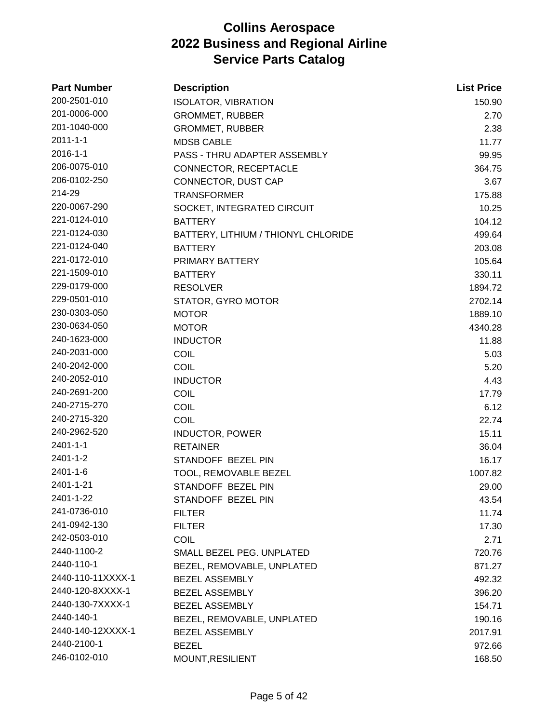| <b>Part Number</b> | <b>Description</b>                  | <b>List Price</b> |
|--------------------|-------------------------------------|-------------------|
| 200-2501-010       | <b>ISOLATOR, VIBRATION</b>          | 150.90            |
| 201-0006-000       | <b>GROMMET, RUBBER</b>              | 2.70              |
| 201-1040-000       | <b>GROMMET, RUBBER</b>              | 2.38              |
| $2011 - 1 - 1$     | <b>MDSB CABLE</b>                   | 11.77             |
| $2016 - 1 - 1$     | PASS - THRU ADAPTER ASSEMBLY        | 99.95             |
| 206-0075-010       | CONNECTOR, RECEPTACLE               | 364.75            |
| 206-0102-250       | CONNECTOR, DUST CAP                 | 3.67              |
| 214-29             | <b>TRANSFORMER</b>                  | 175.88            |
| 220-0067-290       | SOCKET, INTEGRATED CIRCUIT          | 10.25             |
| 221-0124-010       | <b>BATTERY</b>                      | 104.12            |
| 221-0124-030       | BATTERY, LITHIUM / THIONYL CHLORIDE | 499.64            |
| 221-0124-040       | <b>BATTERY</b>                      | 203.08            |
| 221-0172-010       | PRIMARY BATTERY                     | 105.64            |
| 221-1509-010       | <b>BATTERY</b>                      | 330.11            |
| 229-0179-000       | <b>RESOLVER</b>                     | 1894.72           |
| 229-0501-010       | STATOR, GYRO MOTOR                  | 2702.14           |
| 230-0303-050       | <b>MOTOR</b>                        | 1889.10           |
| 230-0634-050       | <b>MOTOR</b>                        | 4340.28           |
| 240-1623-000       | <b>INDUCTOR</b>                     | 11.88             |
| 240-2031-000       | COIL                                | 5.03              |
| 240-2042-000       | COIL                                | 5.20              |
| 240-2052-010       | <b>INDUCTOR</b>                     | 4.43              |
| 240-2691-200       | <b>COIL</b>                         | 17.79             |
| 240-2715-270       | COIL                                | 6.12              |
| 240-2715-320       | COIL                                | 22.74             |
| 240-2962-520       | <b>INDUCTOR, POWER</b>              | 15.11             |
| $2401 - 1 - 1$     | <b>RETAINER</b>                     | 36.04             |
| 2401-1-2           | STANDOFF BEZEL PIN                  | 16.17             |
| 2401-1-6           | TOOL, REMOVABLE BEZEL               | 1007.82           |
| 2401-1-21          | STANDOFF BEZEL PIN                  | 29.00             |
| 2401-1-22          | STANDOFF BEZEL PIN                  | 43.54             |
| 241-0736-010       | <b>FILTER</b>                       | 11.74             |
| 241-0942-130       | <b>FILTER</b>                       | 17.30             |
| 242-0503-010       | <b>COIL</b>                         | 2.71              |
| 2440-1100-2        | SMALL BEZEL PEG. UNPLATED           | 720.76            |
| 2440-110-1         | BEZEL, REMOVABLE, UNPLATED          | 871.27            |
| 2440-110-11XXXX-1  | <b>BEZEL ASSEMBLY</b>               | 492.32            |
| 2440-120-8XXXX-1   | <b>BEZEL ASSEMBLY</b>               | 396.20            |
| 2440-130-7XXXX-1   | <b>BEZEL ASSEMBLY</b>               | 154.71            |
| 2440-140-1         | BEZEL, REMOVABLE, UNPLATED          | 190.16            |
| 2440-140-12XXXX-1  | <b>BEZEL ASSEMBLY</b>               | 2017.91           |
| 2440-2100-1        | <b>BEZEL</b>                        | 972.66            |
| 246-0102-010       | MOUNT, RESILIENT                    | 168.50            |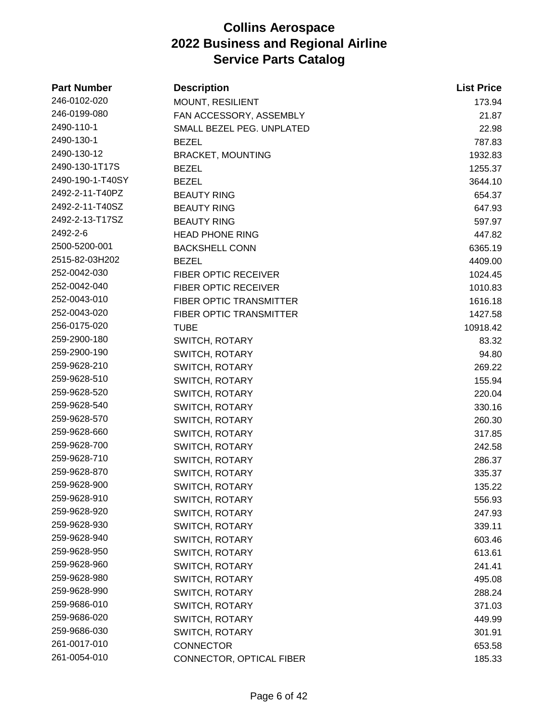| <b>Part Number</b> | <b>Description</b>          | <b>List Price</b> |
|--------------------|-----------------------------|-------------------|
| 246-0102-020       | MOUNT, RESILIENT            | 173.94            |
| 246-0199-080       | FAN ACCESSORY, ASSEMBLY     | 21.87             |
| 2490-110-1         | SMALL BEZEL PEG. UNPLATED   | 22.98             |
| 2490-130-1         | <b>BEZEL</b>                | 787.83            |
| 2490-130-12        | <b>BRACKET, MOUNTING</b>    | 1932.83           |
| 2490-130-1T17S     | <b>BEZEL</b>                | 1255.37           |
| 2490-190-1-T40SY   | <b>BEZEL</b>                | 3644.10           |
| 2492-2-11-T40PZ    | <b>BEAUTY RING</b>          | 654.37            |
| 2492-2-11-T40SZ    | <b>BEAUTY RING</b>          | 647.93            |
| 2492-2-13-T17SZ    | <b>BEAUTY RING</b>          | 597.97            |
| 2492-2-6           | <b>HEAD PHONE RING</b>      | 447.82            |
| 2500-5200-001      | <b>BACKSHELL CONN</b>       | 6365.19           |
| 2515-82-03H202     | <b>BEZEL</b>                | 4409.00           |
| 252-0042-030       | <b>FIBER OPTIC RECEIVER</b> | 1024.45           |
| 252-0042-040       | FIBER OPTIC RECEIVER        | 1010.83           |
| 252-0043-010       | FIBER OPTIC TRANSMITTER     | 1616.18           |
| 252-0043-020       | FIBER OPTIC TRANSMITTER     | 1427.58           |
| 256-0175-020       | <b>TUBE</b>                 | 10918.42          |
| 259-2900-180       | SWITCH, ROTARY              | 83.32             |
| 259-2900-190       | <b>SWITCH, ROTARY</b>       | 94.80             |
| 259-9628-210       | <b>SWITCH, ROTARY</b>       | 269.22            |
| 259-9628-510       | SWITCH, ROTARY              | 155.94            |
| 259-9628-520       | <b>SWITCH, ROTARY</b>       | 220.04            |
| 259-9628-540       | <b>SWITCH, ROTARY</b>       | 330.16            |
| 259-9628-570       | SWITCH, ROTARY              | 260.30            |
| 259-9628-660       | SWITCH, ROTARY              | 317.85            |
| 259-9628-700       | SWITCH, ROTARY              | 242.58            |
| 259-9628-710       | SWITCH, ROTARY              | 286.37            |
| 259-9628-870       | SWITCH, ROTARY              | 335.37            |
| 259-9628-900       | <b>SWITCH, ROTARY</b>       | 135.22            |
| 259-9628-910       | <b>SWITCH, ROTARY</b>       | 556.93            |
| 259-9628-920       | <b>SWITCH, ROTARY</b>       | 247.93            |
| 259-9628-930       | <b>SWITCH, ROTARY</b>       | 339.11            |
| 259-9628-940       | <b>SWITCH, ROTARY</b>       | 603.46            |
| 259-9628-950       | <b>SWITCH, ROTARY</b>       | 613.61            |
| 259-9628-960       | <b>SWITCH, ROTARY</b>       | 241.41            |
| 259-9628-980       | <b>SWITCH, ROTARY</b>       | 495.08            |
| 259-9628-990       | <b>SWITCH, ROTARY</b>       | 288.24            |
| 259-9686-010       | <b>SWITCH, ROTARY</b>       | 371.03            |
| 259-9686-020       | <b>SWITCH, ROTARY</b>       | 449.99            |
| 259-9686-030       | <b>SWITCH, ROTARY</b>       | 301.91            |
| 261-0017-010       | <b>CONNECTOR</b>            | 653.58            |
| 261-0054-010       | CONNECTOR, OPTICAL FIBER    | 185.33            |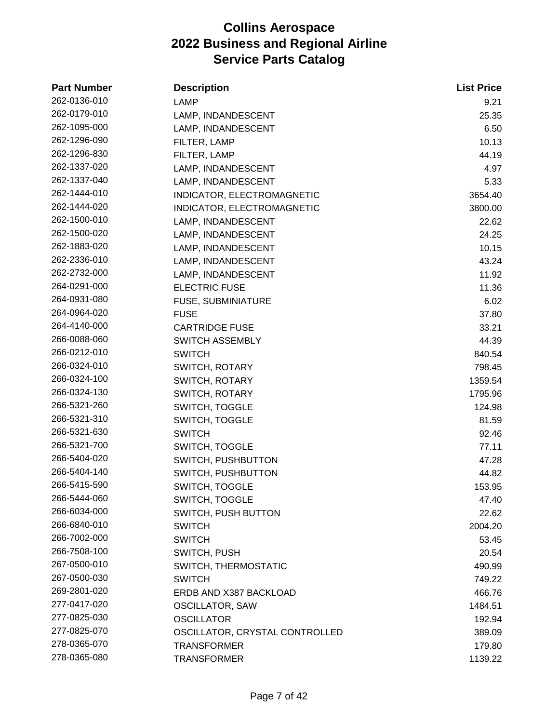| <b>Part Number</b> | <b>Description</b>             | <b>List Price</b> |
|--------------------|--------------------------------|-------------------|
| 262-0136-010       | <b>LAMP</b>                    | 9.21              |
| 262-0179-010       | LAMP, INDANDESCENT             | 25.35             |
| 262-1095-000       | LAMP, INDANDESCENT             | 6.50              |
| 262-1296-090       | FILTER, LAMP                   | 10.13             |
| 262-1296-830       | FILTER, LAMP                   | 44.19             |
| 262-1337-020       | LAMP, INDANDESCENT             | 4.97              |
| 262-1337-040       | LAMP, INDANDESCENT             | 5.33              |
| 262-1444-010       | INDICATOR, ELECTROMAGNETIC     | 3654.40           |
| 262-1444-020       | INDICATOR, ELECTROMAGNETIC     | 3800.00           |
| 262-1500-010       | LAMP, INDANDESCENT             | 22.62             |
| 262-1500-020       | LAMP, INDANDESCENT             | 24.25             |
| 262-1883-020       | LAMP, INDANDESCENT             | 10.15             |
| 262-2336-010       | LAMP, INDANDESCENT             | 43.24             |
| 262-2732-000       | LAMP, INDANDESCENT             | 11.92             |
| 264-0291-000       | <b>ELECTRIC FUSE</b>           | 11.36             |
| 264-0931-080       | FUSE, SUBMINIATURE             | 6.02              |
| 264-0964-020       | <b>FUSE</b>                    | 37.80             |
| 264-4140-000       | <b>CARTRIDGE FUSE</b>          | 33.21             |
| 266-0088-060       | <b>SWITCH ASSEMBLY</b>         | 44.39             |
| 266-0212-010       | <b>SWITCH</b>                  | 840.54            |
| 266-0324-010       | SWITCH, ROTARY                 | 798.45            |
| 266-0324-100       | <b>SWITCH, ROTARY</b>          | 1359.54           |
| 266-0324-130       | <b>SWITCH, ROTARY</b>          | 1795.96           |
| 266-5321-260       | <b>SWITCH, TOGGLE</b>          | 124.98            |
| 266-5321-310       | <b>SWITCH, TOGGLE</b>          | 81.59             |
| 266-5321-630       | <b>SWITCH</b>                  | 92.46             |
| 266-5321-700       | SWITCH, TOGGLE                 | 77.11             |
| 266-5404-020       | SWITCH, PUSHBUTTON             | 47.28             |
| 266-5404-140       | SWITCH, PUSHBUTTON             | 44.82             |
| 266-5415-590       | SWITCH, TOGGLE                 | 153.95            |
| 266-5444-060       | <b>SWITCH, TOGGLE</b>          | 47.40             |
| 266-6034-000       | SWITCH, PUSH BUTTON            | 22.62             |
| 266-6840-010       | <b>SWITCH</b>                  | 2004.20           |
| 266-7002-000       | <b>SWITCH</b>                  | 53.45             |
| 266-7508-100       | SWITCH, PUSH                   | 20.54             |
| 267-0500-010       | SWITCH, THERMOSTATIC           | 490.99            |
| 267-0500-030       | <b>SWITCH</b>                  | 749.22            |
| 269-2801-020       | ERDB AND X387 BACKLOAD         | 466.76            |
| 277-0417-020       | <b>OSCILLATOR, SAW</b>         | 1484.51           |
| 277-0825-030       | <b>OSCILLATOR</b>              | 192.94            |
| 277-0825-070       | OSCILLATOR, CRYSTAL CONTROLLED | 389.09            |
| 278-0365-070       | <b>TRANSFORMER</b>             | 179.80            |
| 278-0365-080       | <b>TRANSFORMER</b>             | 1139.22           |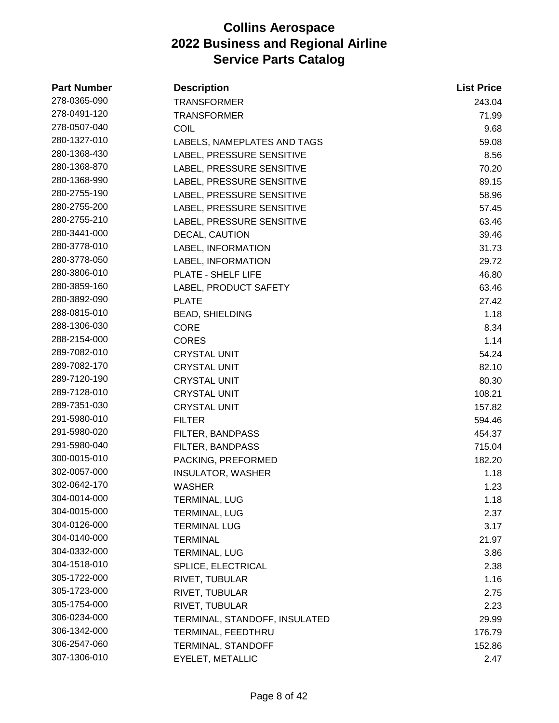| <b>Part Number</b> | <b>Description</b>            | <b>List Price</b> |
|--------------------|-------------------------------|-------------------|
| 278-0365-090       | <b>TRANSFORMER</b>            | 243.04            |
| 278-0491-120       | <b>TRANSFORMER</b>            | 71.99             |
| 278-0507-040       | COIL                          | 9.68              |
| 280-1327-010       | LABELS, NAMEPLATES AND TAGS   | 59.08             |
| 280-1368-430       | LABEL, PRESSURE SENSITIVE     | 8.56              |
| 280-1368-870       | LABEL, PRESSURE SENSITIVE     | 70.20             |
| 280-1368-990       | LABEL, PRESSURE SENSITIVE     | 89.15             |
| 280-2755-190       | LABEL, PRESSURE SENSITIVE     | 58.96             |
| 280-2755-200       | LABEL, PRESSURE SENSITIVE     | 57.45             |
| 280-2755-210       | LABEL, PRESSURE SENSITIVE     | 63.46             |
| 280-3441-000       | DECAL, CAUTION                | 39.46             |
| 280-3778-010       | LABEL, INFORMATION            | 31.73             |
| 280-3778-050       | LABEL, INFORMATION            | 29.72             |
| 280-3806-010       | PLATE - SHELF LIFE            | 46.80             |
| 280-3859-160       | LABEL, PRODUCT SAFETY         | 63.46             |
| 280-3892-090       | <b>PLATE</b>                  | 27.42             |
| 288-0815-010       | <b>BEAD, SHIELDING</b>        | 1.18              |
| 288-1306-030       | <b>CORE</b>                   | 8.34              |
| 288-2154-000       | <b>CORES</b>                  | 1.14              |
| 289-7082-010       | <b>CRYSTAL UNIT</b>           | 54.24             |
| 289-7082-170       | <b>CRYSTAL UNIT</b>           | 82.10             |
| 289-7120-190       | <b>CRYSTAL UNIT</b>           | 80.30             |
| 289-7128-010       | <b>CRYSTAL UNIT</b>           | 108.21            |
| 289-7351-030       | <b>CRYSTAL UNIT</b>           | 157.82            |
| 291-5980-010       | <b>FILTER</b>                 | 594.46            |
| 291-5980-020       | FILTER, BANDPASS              | 454.37            |
| 291-5980-040       | <b>FILTER, BANDPASS</b>       | 715.04            |
| 300-0015-010       | PACKING, PREFORMED            | 182.20            |
| 302-0057-000       | <b>INSULATOR, WASHER</b>      | 1.18              |
| 302-0642-170       | <b>WASHER</b>                 | 1.23              |
| 304-0014-000       | <b>TERMINAL, LUG</b>          | 1.18              |
| 304-0015-000       | <b>TERMINAL, LUG</b>          | 2.37              |
| 304-0126-000       | <b>TERMINAL LUG</b>           | 3.17              |
| 304-0140-000       | <b>TERMINAL</b>               | 21.97             |
| 304-0332-000       | TERMINAL, LUG                 | 3.86              |
| 304-1518-010       | SPLICE, ELECTRICAL            | 2.38              |
| 305-1722-000       | RIVET, TUBULAR                | 1.16              |
| 305-1723-000       | RIVET, TUBULAR                | 2.75              |
| 305-1754-000       | RIVET, TUBULAR                | 2.23              |
| 306-0234-000       | TERMINAL, STANDOFF, INSULATED | 29.99             |
| 306-1342-000       | TERMINAL, FEEDTHRU            | 176.79            |
| 306-2547-060       | TERMINAL, STANDOFF            | 152.86            |
| 307-1306-010       | EYELET, METALLIC              | 2.47              |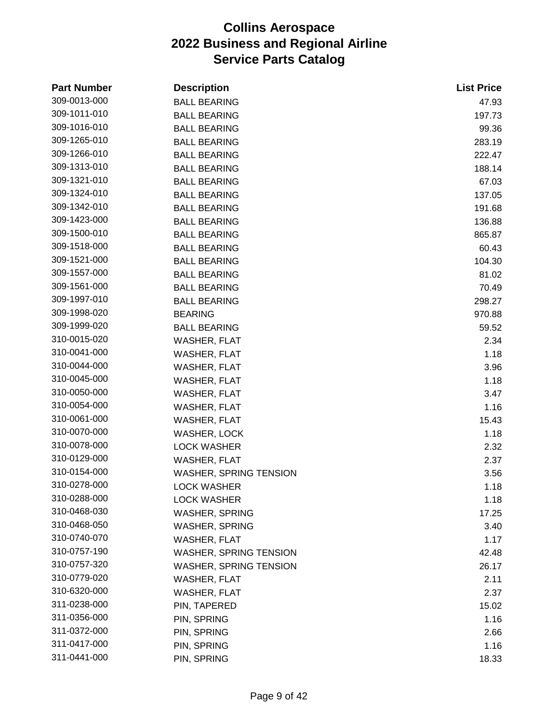| <b>Part Number</b> | <b>Description</b>            | <b>List Price</b> |
|--------------------|-------------------------------|-------------------|
| 309-0013-000       | <b>BALL BEARING</b>           | 47.93             |
| 309-1011-010       | <b>BALL BEARING</b>           | 197.73            |
| 309-1016-010       | <b>BALL BEARING</b>           | 99.36             |
| 309-1265-010       | <b>BALL BEARING</b>           | 283.19            |
| 309-1266-010       | <b>BALL BEARING</b>           | 222.47            |
| 309-1313-010       | <b>BALL BEARING</b>           | 188.14            |
| 309-1321-010       | <b>BALL BEARING</b>           | 67.03             |
| 309-1324-010       | <b>BALL BEARING</b>           | 137.05            |
| 309-1342-010       | <b>BALL BEARING</b>           | 191.68            |
| 309-1423-000       | <b>BALL BEARING</b>           | 136.88            |
| 309-1500-010       | <b>BALL BEARING</b>           | 865.87            |
| 309-1518-000       | <b>BALL BEARING</b>           | 60.43             |
| 309-1521-000       | <b>BALL BEARING</b>           | 104.30            |
| 309-1557-000       | <b>BALL BEARING</b>           | 81.02             |
| 309-1561-000       | <b>BALL BEARING</b>           | 70.49             |
| 309-1997-010       | <b>BALL BEARING</b>           | 298.27            |
| 309-1998-020       | <b>BEARING</b>                | 970.88            |
| 309-1999-020       | <b>BALL BEARING</b>           | 59.52             |
| 310-0015-020       | <b>WASHER, FLAT</b>           | 2.34              |
| 310-0041-000       | WASHER, FLAT                  | 1.18              |
| 310-0044-000       | WASHER, FLAT                  | 3.96              |
| 310-0045-000       | WASHER, FLAT                  | 1.18              |
| 310-0050-000       | WASHER, FLAT                  | 3.47              |
| 310-0054-000       | <b>WASHER, FLAT</b>           | 1.16              |
| 310-0061-000       | WASHER, FLAT                  | 15.43             |
| 310-0070-000       | WASHER, LOCK                  | 1.18              |
| 310-0078-000       | <b>LOCK WASHER</b>            | 2.32              |
| 310-0129-000       | WASHER, FLAT                  | 2.37              |
| 310-0154-000       | <b>WASHER, SPRING TENSION</b> | 3.56              |
| 310-0278-000       | <b>LOCK WASHER</b>            | 1.18              |
| 310-0288-000       | <b>LOCK WASHER</b>            | 1.18              |
| 310-0468-030       | <b>WASHER, SPRING</b>         | 17.25             |
| 310-0468-050       | <b>WASHER, SPRING</b>         | 3.40              |
| 310-0740-070       | <b>WASHER, FLAT</b>           | 1.17              |
| 310-0757-190       | <b>WASHER, SPRING TENSION</b> | 42.48             |
| 310-0757-320       | <b>WASHER, SPRING TENSION</b> | 26.17             |
| 310-0779-020       | WASHER, FLAT                  | 2.11              |
| 310-6320-000       | WASHER, FLAT                  | 2.37              |
| 311-0238-000       | PIN, TAPERED                  | 15.02             |
| 311-0356-000       | PIN, SPRING                   | 1.16              |
| 311-0372-000       | PIN, SPRING                   | 2.66              |
| 311-0417-000       | PIN, SPRING                   | 1.16              |
| 311-0441-000       | PIN, SPRING                   | 18.33             |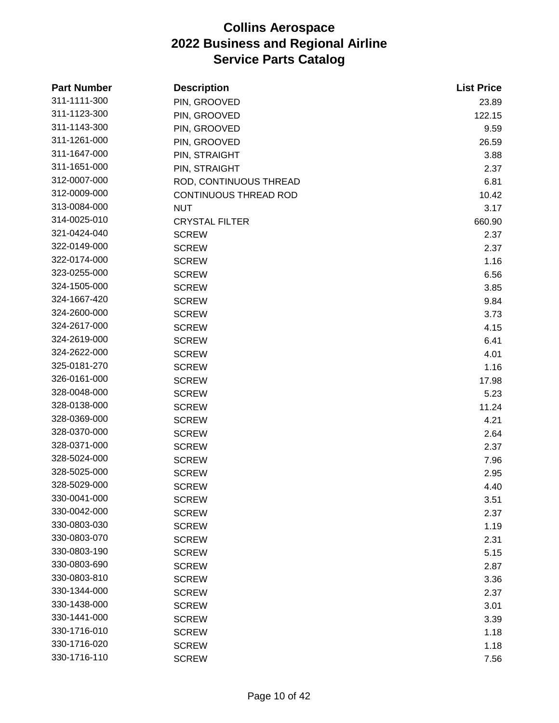| <b>Part Number</b> | <b>Description</b>           | <b>List Price</b> |
|--------------------|------------------------------|-------------------|
| 311-1111-300       | PIN, GROOVED                 | 23.89             |
| 311-1123-300       | PIN, GROOVED                 | 122.15            |
| 311-1143-300       | PIN, GROOVED                 | 9.59              |
| 311-1261-000       | PIN, GROOVED                 | 26.59             |
| 311-1647-000       | PIN, STRAIGHT                | 3.88              |
| 311-1651-000       | PIN, STRAIGHT                | 2.37              |
| 312-0007-000       | ROD, CONTINUOUS THREAD       | 6.81              |
| 312-0009-000       | <b>CONTINUOUS THREAD ROD</b> | 10.42             |
| 313-0084-000       | <b>NUT</b>                   | 3.17              |
| 314-0025-010       | <b>CRYSTAL FILTER</b>        | 660.90            |
| 321-0424-040       | <b>SCREW</b>                 | 2.37              |
| 322-0149-000       | <b>SCREW</b>                 | 2.37              |
| 322-0174-000       | <b>SCREW</b>                 | 1.16              |
| 323-0255-000       | <b>SCREW</b>                 | 6.56              |
| 324-1505-000       | <b>SCREW</b>                 | 3.85              |
| 324-1667-420       | <b>SCREW</b>                 | 9.84              |
| 324-2600-000       | <b>SCREW</b>                 | 3.73              |
| 324-2617-000       | <b>SCREW</b>                 | 4.15              |
| 324-2619-000       | <b>SCREW</b>                 | 6.41              |
| 324-2622-000       | <b>SCREW</b>                 | 4.01              |
| 325-0181-270       | <b>SCREW</b>                 | 1.16              |
| 326-0161-000       | <b>SCREW</b>                 | 17.98             |
| 328-0048-000       | <b>SCREW</b>                 | 5.23              |
| 328-0138-000       | <b>SCREW</b>                 | 11.24             |
| 328-0369-000       | <b>SCREW</b>                 | 4.21              |
| 328-0370-000       | <b>SCREW</b>                 | 2.64              |
| 328-0371-000       | <b>SCREW</b>                 | 2.37              |
| 328-5024-000       | <b>SCREW</b>                 | 7.96              |
| 328-5025-000       | <b>SCREW</b>                 | 2.95              |
| 328-5029-000       | <b>SCREW</b>                 | 4.40              |
| 330-0041-000       | <b>SCREW</b>                 | 3.51              |
| 330-0042-000       | <b>SCREW</b>                 | 2.37              |
| 330-0803-030       | <b>SCREW</b>                 | 1.19              |
| 330-0803-070       | <b>SCREW</b>                 | 2.31              |
| 330-0803-190       | <b>SCREW</b>                 | 5.15              |
| 330-0803-690       | <b>SCREW</b>                 | 2.87              |
| 330-0803-810       | <b>SCREW</b>                 | 3.36              |
| 330-1344-000       | <b>SCREW</b>                 | 2.37              |
| 330-1438-000       | <b>SCREW</b>                 | 3.01              |
| 330-1441-000       | <b>SCREW</b>                 | 3.39              |
| 330-1716-010       | <b>SCREW</b>                 | 1.18              |
| 330-1716-020       | <b>SCREW</b>                 | 1.18              |
| 330-1716-110       | <b>SCREW</b>                 | 7.56              |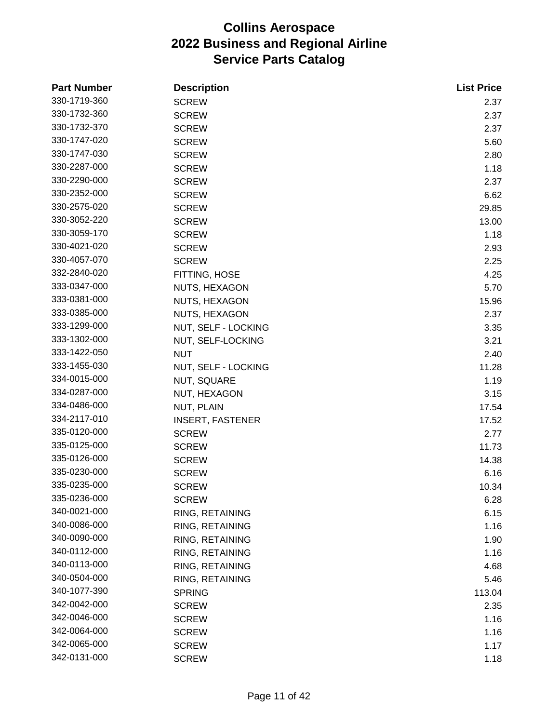| <b>Part Number</b> | <b>Description</b>      | <b>List Price</b> |
|--------------------|-------------------------|-------------------|
| 330-1719-360       | <b>SCREW</b>            | 2.37              |
| 330-1732-360       | <b>SCREW</b>            | 2.37              |
| 330-1732-370       | <b>SCREW</b>            | 2.37              |
| 330-1747-020       | <b>SCREW</b>            | 5.60              |
| 330-1747-030       | <b>SCREW</b>            | 2.80              |
| 330-2287-000       | <b>SCREW</b>            | 1.18              |
| 330-2290-000       | <b>SCREW</b>            | 2.37              |
| 330-2352-000       | <b>SCREW</b>            | 6.62              |
| 330-2575-020       | <b>SCREW</b>            | 29.85             |
| 330-3052-220       | <b>SCREW</b>            | 13.00             |
| 330-3059-170       | <b>SCREW</b>            | 1.18              |
| 330-4021-020       | <b>SCREW</b>            | 2.93              |
| 330-4057-070       | <b>SCREW</b>            | 2.25              |
| 332-2840-020       | FITTING, HOSE           | 4.25              |
| 333-0347-000       | NUTS, HEXAGON           | 5.70              |
| 333-0381-000       | NUTS, HEXAGON           | 15.96             |
| 333-0385-000       | NUTS, HEXAGON           | 2.37              |
| 333-1299-000       | NUT, SELF - LOCKING     | 3.35              |
| 333-1302-000       | NUT, SELF-LOCKING       | 3.21              |
| 333-1422-050       | <b>NUT</b>              | 2.40              |
| 333-1455-030       | NUT, SELF - LOCKING     | 11.28             |
| 334-0015-000       | NUT, SQUARE             | 1.19              |
| 334-0287-000       | NUT, HEXAGON            | 3.15              |
| 334-0486-000       | NUT, PLAIN              | 17.54             |
| 334-2117-010       | <b>INSERT, FASTENER</b> | 17.52             |
| 335-0120-000       | <b>SCREW</b>            | 2.77              |
| 335-0125-000       | <b>SCREW</b>            | 11.73             |
| 335-0126-000       | <b>SCREW</b>            | 14.38             |
| 335-0230-000       | <b>SCREW</b>            | 6.16              |
| 335-0235-000       | <b>SCREW</b>            | 10.34             |
| 335-0236-000       | <b>SCREW</b>            | 6.28              |
| 340-0021-000       | RING, RETAINING         | 6.15              |
| 340-0086-000       | RING, RETAINING         | 1.16              |
| 340-0090-000       | RING, RETAINING         | 1.90              |
| 340-0112-000       | RING, RETAINING         | 1.16              |
| 340-0113-000       | RING, RETAINING         | 4.68              |
| 340-0504-000       | RING, RETAINING         | 5.46              |
| 340-1077-390       | <b>SPRING</b>           | 113.04            |
| 342-0042-000       | <b>SCREW</b>            | 2.35              |
| 342-0046-000       | <b>SCREW</b>            | 1.16              |
| 342-0064-000       | <b>SCREW</b>            | 1.16              |
| 342-0065-000       | <b>SCREW</b>            | 1.17              |
| 342-0131-000       | <b>SCREW</b>            | 1.18              |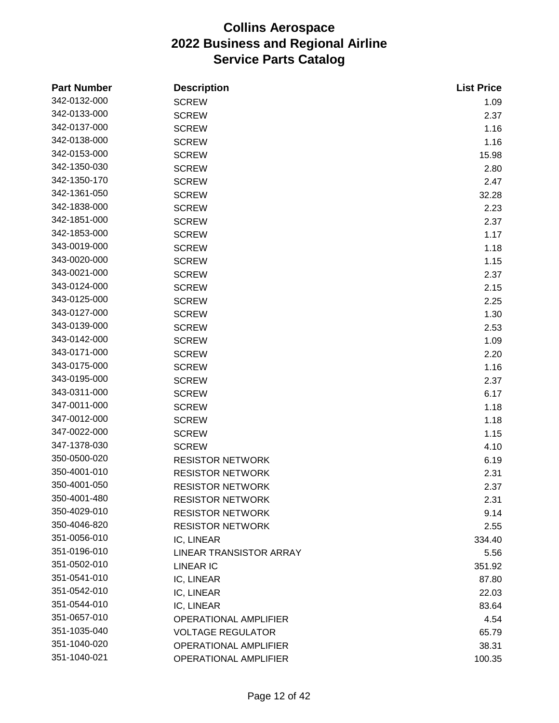| <b>Part Number</b> | <b>Description</b>           | <b>List Price</b> |
|--------------------|------------------------------|-------------------|
| 342-0132-000       | <b>SCREW</b>                 | 1.09              |
| 342-0133-000       | <b>SCREW</b>                 | 2.37              |
| 342-0137-000       | <b>SCREW</b>                 | 1.16              |
| 342-0138-000       | <b>SCREW</b>                 | 1.16              |
| 342-0153-000       | <b>SCREW</b>                 | 15.98             |
| 342-1350-030       | <b>SCREW</b>                 | 2.80              |
| 342-1350-170       | <b>SCREW</b>                 | 2.47              |
| 342-1361-050       | <b>SCREW</b>                 | 32.28             |
| 342-1838-000       | <b>SCREW</b>                 | 2.23              |
| 342-1851-000       | <b>SCREW</b>                 | 2.37              |
| 342-1853-000       | <b>SCREW</b>                 | 1.17              |
| 343-0019-000       | <b>SCREW</b>                 | 1.18              |
| 343-0020-000       | <b>SCREW</b>                 | 1.15              |
| 343-0021-000       | <b>SCREW</b>                 | 2.37              |
| 343-0124-000       | <b>SCREW</b>                 | 2.15              |
| 343-0125-000       | <b>SCREW</b>                 | 2.25              |
| 343-0127-000       | <b>SCREW</b>                 | 1.30              |
| 343-0139-000       | <b>SCREW</b>                 | 2.53              |
| 343-0142-000       | <b>SCREW</b>                 | 1.09              |
| 343-0171-000       | <b>SCREW</b>                 | 2.20              |
| 343-0175-000       | <b>SCREW</b>                 | 1.16              |
| 343-0195-000       | <b>SCREW</b>                 | 2.37              |
| 343-0311-000       | <b>SCREW</b>                 | 6.17              |
| 347-0011-000       | <b>SCREW</b>                 | 1.18              |
| 347-0012-000       | <b>SCREW</b>                 | 1.18              |
| 347-0022-000       | <b>SCREW</b>                 | 1.15              |
| 347-1378-030       | <b>SCREW</b>                 | 4.10              |
| 350-0500-020       | <b>RESISTOR NETWORK</b>      | 6.19              |
| 350-4001-010       | <b>RESISTOR NETWORK</b>      | 2.31              |
| 350-4001-050       | <b>RESISTOR NETWORK</b>      | 2.37              |
| 350-4001-480       | <b>RESISTOR NETWORK</b>      | 2.31              |
| 350-4029-010       | <b>RESISTOR NETWORK</b>      | 9.14              |
| 350-4046-820       | <b>RESISTOR NETWORK</b>      | 2.55              |
| 351-0056-010       | IC, LINEAR                   | 334.40            |
| 351-0196-010       | LINEAR TRANSISTOR ARRAY      | 5.56              |
| 351-0502-010       | <b>LINEAR IC</b>             | 351.92            |
| 351-0541-010       | IC, LINEAR                   | 87.80             |
| 351-0542-010       | IC, LINEAR                   | 22.03             |
| 351-0544-010       | IC, LINEAR                   | 83.64             |
| 351-0657-010       | <b>OPERATIONAL AMPLIFIER</b> | 4.54              |
| 351-1035-040       | <b>VOLTAGE REGULATOR</b>     | 65.79             |
| 351-1040-020       | OPERATIONAL AMPLIFIER        | 38.31             |
| 351-1040-021       | OPERATIONAL AMPLIFIER        | 100.35            |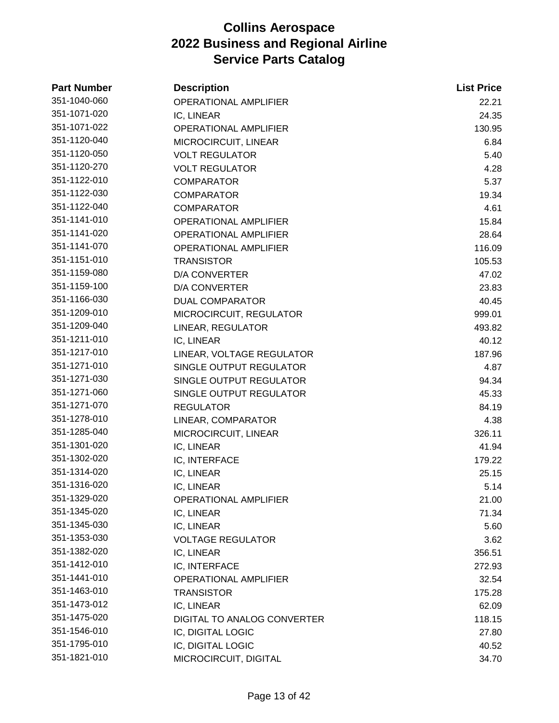| <b>Part Number</b> | <b>Description</b>           | <b>List Price</b> |
|--------------------|------------------------------|-------------------|
| 351-1040-060       | <b>OPERATIONAL AMPLIFIER</b> | 22.21             |
| 351-1071-020       | IC, LINEAR                   | 24.35             |
| 351-1071-022       | <b>OPERATIONAL AMPLIFIER</b> | 130.95            |
| 351-1120-040       | MICROCIRCUIT, LINEAR         | 6.84              |
| 351-1120-050       | <b>VOLT REGULATOR</b>        | 5.40              |
| 351-1120-270       | <b>VOLT REGULATOR</b>        | 4.28              |
| 351-1122-010       | <b>COMPARATOR</b>            | 5.37              |
| 351-1122-030       | <b>COMPARATOR</b>            | 19.34             |
| 351-1122-040       | <b>COMPARATOR</b>            | 4.61              |
| 351-1141-010       | <b>OPERATIONAL AMPLIFIER</b> | 15.84             |
| 351-1141-020       | <b>OPERATIONAL AMPLIFIER</b> | 28.64             |
| 351-1141-070       | <b>OPERATIONAL AMPLIFIER</b> | 116.09            |
| 351-1151-010       | <b>TRANSISTOR</b>            | 105.53            |
| 351-1159-080       | <b>D/A CONVERTER</b>         | 47.02             |
| 351-1159-100       | <b>D/A CONVERTER</b>         | 23.83             |
| 351-1166-030       | <b>DUAL COMPARATOR</b>       | 40.45             |
| 351-1209-010       | MICROCIRCUIT, REGULATOR      | 999.01            |
| 351-1209-040       | LINEAR, REGULATOR            | 493.82            |
| 351-1211-010       | IC, LINEAR                   | 40.12             |
| 351-1217-010       | LINEAR, VOLTAGE REGULATOR    | 187.96            |
| 351-1271-010       | SINGLE OUTPUT REGULATOR      | 4.87              |
| 351-1271-030       | SINGLE OUTPUT REGULATOR      | 94.34             |
| 351-1271-060       | SINGLE OUTPUT REGULATOR      | 45.33             |
| 351-1271-070       | <b>REGULATOR</b>             | 84.19             |
| 351-1278-010       | LINEAR, COMPARATOR           | 4.38              |
| 351-1285-040       | MICROCIRCUIT, LINEAR         | 326.11            |
| 351-1301-020       | IC, LINEAR                   | 41.94             |
| 351-1302-020       | IC, INTERFACE                | 179.22            |
| 351-1314-020       | IC, LINEAR                   | 25.15             |
| 351-1316-020       | IC, LINEAR                   | 5.14              |
| 351-1329-020       | <b>OPERATIONAL AMPLIFIER</b> | 21.00             |
| 351-1345-020       | IC, LINEAR                   | 71.34             |
| 351-1345-030       | IC, LINEAR                   | 5.60              |
| 351-1353-030       | <b>VOLTAGE REGULATOR</b>     | 3.62              |
| 351-1382-020       | IC, LINEAR                   | 356.51            |
| 351-1412-010       | IC, INTERFACE                | 272.93            |
| 351-1441-010       | <b>OPERATIONAL AMPLIFIER</b> | 32.54             |
| 351-1463-010       | <b>TRANSISTOR</b>            | 175.28            |
| 351-1473-012       | IC, LINEAR                   | 62.09             |
| 351-1475-020       | DIGITAL TO ANALOG CONVERTER  | 118.15            |
| 351-1546-010       | IC, DIGITAL LOGIC            | 27.80             |
| 351-1795-010       | IC, DIGITAL LOGIC            | 40.52             |
| 351-1821-010       | MICROCIRCUIT, DIGITAL        | 34.70             |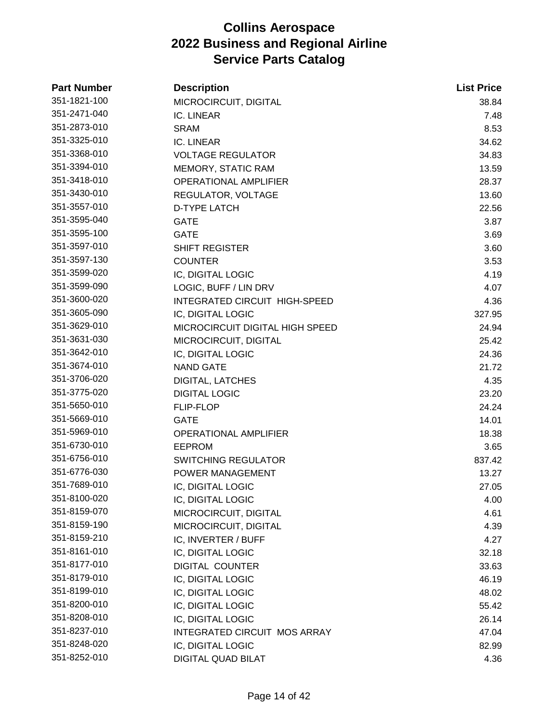| <b>Part Number</b> | <b>Description</b>                  | <b>List Price</b> |
|--------------------|-------------------------------------|-------------------|
| 351-1821-100       | MICROCIRCUIT, DIGITAL               | 38.84             |
| 351-2471-040       | IC. LINEAR                          | 7.48              |
| 351-2873-010       | <b>SRAM</b>                         | 8.53              |
| 351-3325-010       | IC. LINEAR                          | 34.62             |
| 351-3368-010       | <b>VOLTAGE REGULATOR</b>            | 34.83             |
| 351-3394-010       | MEMORY, STATIC RAM                  | 13.59             |
| 351-3418-010       | <b>OPERATIONAL AMPLIFIER</b>        | 28.37             |
| 351-3430-010       | REGULATOR, VOLTAGE                  | 13.60             |
| 351-3557-010       | <b>D-TYPE LATCH</b>                 | 22.56             |
| 351-3595-040       | <b>GATE</b>                         | 3.87              |
| 351-3595-100       | <b>GATE</b>                         | 3.69              |
| 351-3597-010       | <b>SHIFT REGISTER</b>               | 3.60              |
| 351-3597-130       | <b>COUNTER</b>                      | 3.53              |
| 351-3599-020       | IC, DIGITAL LOGIC                   | 4.19              |
| 351-3599-090       | LOGIC, BUFF / LIN DRV               | 4.07              |
| 351-3600-020       | INTEGRATED CIRCUIT HIGH-SPEED       | 4.36              |
| 351-3605-090       | IC, DIGITAL LOGIC                   | 327.95            |
| 351-3629-010       | MICROCIRCUIT DIGITAL HIGH SPEED     | 24.94             |
| 351-3631-030       | MICROCIRCUIT, DIGITAL               | 25.42             |
| 351-3642-010       | IC, DIGITAL LOGIC                   | 24.36             |
| 351-3674-010       | <b>NAND GATE</b>                    | 21.72             |
| 351-3706-020       | <b>DIGITAL, LATCHES</b>             | 4.35              |
| 351-3775-020       | <b>DIGITAL LOGIC</b>                | 23.20             |
| 351-5650-010       | <b>FLIP-FLOP</b>                    | 24.24             |
| 351-5669-010       | <b>GATE</b>                         | 14.01             |
| 351-5969-010       | OPERATIONAL AMPLIFIER               | 18.38             |
| 351-6730-010       | <b>EEPROM</b>                       | 3.65              |
| 351-6756-010       | <b>SWITCHING REGULATOR</b>          | 837.42            |
| 351-6776-030       | POWER MANAGEMENT                    | 13.27             |
| 351-7689-010       | IC, DIGITAL LOGIC                   | 27.05             |
| 351-8100-020       | IC, DIGITAL LOGIC                   | 4.00              |
| 351-8159-070       | MICROCIRCUIT, DIGITAL               | 4.61              |
| 351-8159-190       | MICROCIRCUIT, DIGITAL               | 4.39              |
| 351-8159-210       | IC, INVERTER / BUFF                 | 4.27              |
| 351-8161-010       | IC, DIGITAL LOGIC                   | 32.18             |
| 351-8177-010       | <b>DIGITAL COUNTER</b>              | 33.63             |
| 351-8179-010       | IC, DIGITAL LOGIC                   | 46.19             |
| 351-8199-010       | IC, DIGITAL LOGIC                   | 48.02             |
| 351-8200-010       | IC, DIGITAL LOGIC                   | 55.42             |
| 351-8208-010       | IC, DIGITAL LOGIC                   | 26.14             |
| 351-8237-010       | <b>INTEGRATED CIRCUIT MOS ARRAY</b> | 47.04             |
| 351-8248-020       | IC, DIGITAL LOGIC                   | 82.99             |
| 351-8252-010       | DIGITAL QUAD BILAT                  | 4.36              |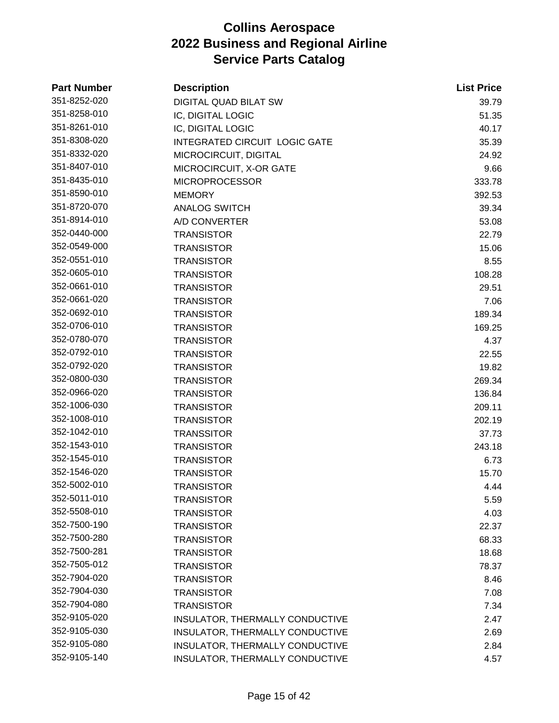| <b>Part Number</b> | <b>Description</b>                   | <b>List Price</b> |
|--------------------|--------------------------------------|-------------------|
| 351-8252-020       | <b>DIGITAL QUAD BILAT SW</b>         | 39.79             |
| 351-8258-010       | IC, DIGITAL LOGIC                    | 51.35             |
| 351-8261-010       | IC, DIGITAL LOGIC                    | 40.17             |
| 351-8308-020       | <b>INTEGRATED CIRCUIT LOGIC GATE</b> | 35.39             |
| 351-8332-020       | MICROCIRCUIT, DIGITAL                | 24.92             |
| 351-8407-010       | MICROCIRCUIT, X-OR GATE              | 9.66              |
| 351-8435-010       | <b>MICROPROCESSOR</b>                | 333.78            |
| 351-8590-010       | <b>MEMORY</b>                        | 392.53            |
| 351-8720-070       | <b>ANALOG SWITCH</b>                 | 39.34             |
| 351-8914-010       | A/D CONVERTER                        | 53.08             |
| 352-0440-000       | <b>TRANSISTOR</b>                    | 22.79             |
| 352-0549-000       | <b>TRANSISTOR</b>                    | 15.06             |
| 352-0551-010       | <b>TRANSISTOR</b>                    | 8.55              |
| 352-0605-010       | <b>TRANSISTOR</b>                    | 108.28            |
| 352-0661-010       | <b>TRANSISTOR</b>                    | 29.51             |
| 352-0661-020       | <b>TRANSISTOR</b>                    | 7.06              |
| 352-0692-010       | <b>TRANSISTOR</b>                    | 189.34            |
| 352-0706-010       | <b>TRANSISTOR</b>                    | 169.25            |
| 352-0780-070       | <b>TRANSISTOR</b>                    | 4.37              |
| 352-0792-010       | <b>TRANSISTOR</b>                    | 22.55             |
| 352-0792-020       | <b>TRANSISTOR</b>                    | 19.82             |
| 352-0800-030       | <b>TRANSISTOR</b>                    | 269.34            |
| 352-0966-020       | <b>TRANSISTOR</b>                    | 136.84            |
| 352-1006-030       | <b>TRANSISTOR</b>                    | 209.11            |
| 352-1008-010       | <b>TRANSISTOR</b>                    | 202.19            |
| 352-1042-010       | <b>TRANSSITOR</b>                    | 37.73             |
| 352-1543-010       | <b>TRANSISTOR</b>                    | 243.18            |
| 352-1545-010       | <b>TRANSISTOR</b>                    | 6.73              |
| 352-1546-020       | <b>TRANSISTOR</b>                    | 15.70             |
| 352-5002-010       | <b>TRANSISTOR</b>                    | 4.44              |
| 352-5011-010       | <b>TRANSISTOR</b>                    | 5.59              |
| 352-5508-010       | <b>TRANSISTOR</b>                    | 4.03              |
| 352-7500-190       | <b>TRANSISTOR</b>                    | 22.37             |
| 352-7500-280       | <b>TRANSISTOR</b>                    | 68.33             |
| 352-7500-281       | <b>TRANSISTOR</b>                    | 18.68             |
| 352-7505-012       | <b>TRANSISTOR</b>                    | 78.37             |
| 352-7904-020       | <b>TRANSISTOR</b>                    | 8.46              |
| 352-7904-030       | <b>TRANSISTOR</b>                    | 7.08              |
| 352-7904-080       | <b>TRANSISTOR</b>                    | 7.34              |
| 352-9105-020       | INSULATOR, THERMALLY CONDUCTIVE      | 2.47              |
| 352-9105-030       | INSULATOR, THERMALLY CONDUCTIVE      | 2.69              |
| 352-9105-080       | INSULATOR, THERMALLY CONDUCTIVE      | 2.84              |
| 352-9105-140       | INSULATOR, THERMALLY CONDUCTIVE      | 4.57              |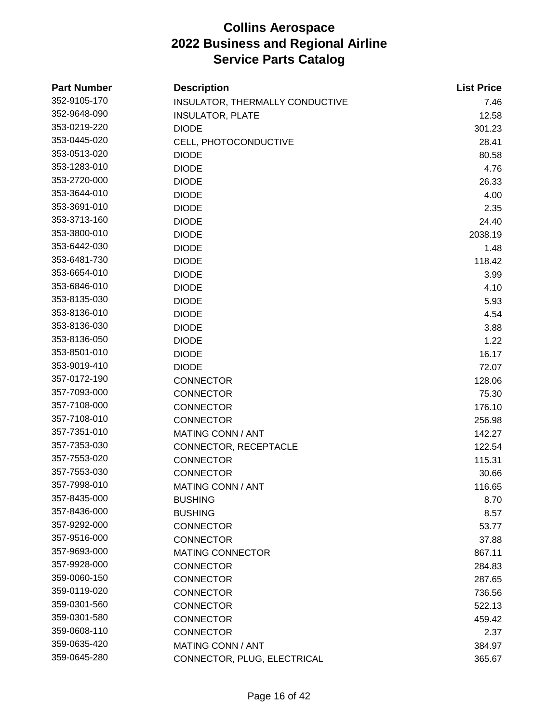| <b>Part Number</b> | <b>Description</b>              | <b>List Price</b> |
|--------------------|---------------------------------|-------------------|
| 352-9105-170       | INSULATOR, THERMALLY CONDUCTIVE | 7.46              |
| 352-9648-090       | <b>INSULATOR, PLATE</b>         | 12.58             |
| 353-0219-220       | <b>DIODE</b>                    | 301.23            |
| 353-0445-020       | CELL, PHOTOCONDUCTIVE           | 28.41             |
| 353-0513-020       | <b>DIODE</b>                    | 80.58             |
| 353-1283-010       | <b>DIODE</b>                    | 4.76              |
| 353-2720-000       | <b>DIODE</b>                    | 26.33             |
| 353-3644-010       | <b>DIODE</b>                    | 4.00              |
| 353-3691-010       | <b>DIODE</b>                    | 2.35              |
| 353-3713-160       | <b>DIODE</b>                    | 24.40             |
| 353-3800-010       | <b>DIODE</b>                    | 2038.19           |
| 353-6442-030       | <b>DIODE</b>                    | 1.48              |
| 353-6481-730       | <b>DIODE</b>                    | 118.42            |
| 353-6654-010       | <b>DIODE</b>                    | 3.99              |
| 353-6846-010       | <b>DIODE</b>                    | 4.10              |
| 353-8135-030       | <b>DIODE</b>                    | 5.93              |
| 353-8136-010       | <b>DIODE</b>                    | 4.54              |
| 353-8136-030       | <b>DIODE</b>                    | 3.88              |
| 353-8136-050       | <b>DIODE</b>                    | 1.22              |
| 353-8501-010       | <b>DIODE</b>                    | 16.17             |
| 353-9019-410       | <b>DIODE</b>                    | 72.07             |
| 357-0172-190       | <b>CONNECTOR</b>                | 128.06            |
| 357-7093-000       | <b>CONNECTOR</b>                | 75.30             |
| 357-7108-000       | <b>CONNECTOR</b>                | 176.10            |
| 357-7108-010       | <b>CONNECTOR</b>                | 256.98            |
| 357-7351-010       | <b>MATING CONN / ANT</b>        | 142.27            |
| 357-7353-030       | CONNECTOR, RECEPTACLE           | 122.54            |
| 357-7553-020       | <b>CONNECTOR</b>                | 115.31            |
| 357-7553-030       | <b>CONNECTOR</b>                | 30.66             |
| 357-7998-010       | MATING CONN / ANT               | 116.65            |
| 357-8435-000       | <b>BUSHING</b>                  | 8.70              |
| 357-8436-000       | <b>BUSHING</b>                  | 8.57              |
| 357-9292-000       | <b>CONNECTOR</b>                | 53.77             |
| 357-9516-000       | <b>CONNECTOR</b>                | 37.88             |
| 357-9693-000       | <b>MATING CONNECTOR</b>         | 867.11            |
| 357-9928-000       | <b>CONNECTOR</b>                | 284.83            |
| 359-0060-150       | <b>CONNECTOR</b>                | 287.65            |
| 359-0119-020       | <b>CONNECTOR</b>                | 736.56            |
| 359-0301-560       | <b>CONNECTOR</b>                | 522.13            |
| 359-0301-580       | <b>CONNECTOR</b>                | 459.42            |
| 359-0608-110       | <b>CONNECTOR</b>                | 2.37              |
| 359-0635-420       | <b>MATING CONN / ANT</b>        | 384.97            |
| 359-0645-280       | CONNECTOR, PLUG, ELECTRICAL     | 365.67            |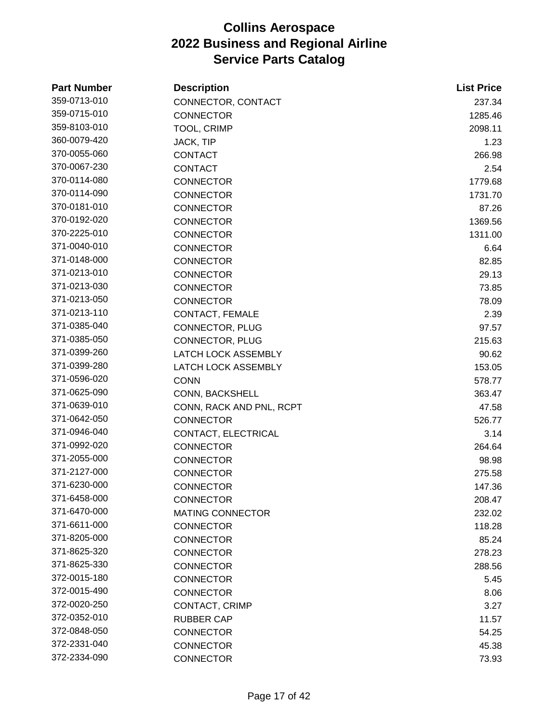| <b>Part Number</b> | <b>Description</b>         | <b>List Price</b> |
|--------------------|----------------------------|-------------------|
| 359-0713-010       | CONNECTOR, CONTACT         | 237.34            |
| 359-0715-010       | <b>CONNECTOR</b>           | 1285.46           |
| 359-8103-010       | <b>TOOL, CRIMP</b>         | 2098.11           |
| 360-0079-420       | JACK, TIP                  | 1.23              |
| 370-0055-060       | <b>CONTACT</b>             | 266.98            |
| 370-0067-230       | <b>CONTACT</b>             | 2.54              |
| 370-0114-080       | <b>CONNECTOR</b>           | 1779.68           |
| 370-0114-090       | <b>CONNECTOR</b>           | 1731.70           |
| 370-0181-010       | <b>CONNECTOR</b>           | 87.26             |
| 370-0192-020       | <b>CONNECTOR</b>           | 1369.56           |
| 370-2225-010       | <b>CONNECTOR</b>           | 1311.00           |
| 371-0040-010       | <b>CONNECTOR</b>           | 6.64              |
| 371-0148-000       | <b>CONNECTOR</b>           | 82.85             |
| 371-0213-010       | <b>CONNECTOR</b>           | 29.13             |
| 371-0213-030       | <b>CONNECTOR</b>           | 73.85             |
| 371-0213-050       | <b>CONNECTOR</b>           | 78.09             |
| 371-0213-110       | CONTACT, FEMALE            | 2.39              |
| 371-0385-040       | CONNECTOR, PLUG            | 97.57             |
| 371-0385-050       | <b>CONNECTOR, PLUG</b>     | 215.63            |
| 371-0399-260       | <b>LATCH LOCK ASSEMBLY</b> | 90.62             |
| 371-0399-280       | <b>LATCH LOCK ASSEMBLY</b> | 153.05            |
| 371-0596-020       | <b>CONN</b>                | 578.77            |
| 371-0625-090       | CONN, BACKSHELL            | 363.47            |
| 371-0639-010       | CONN, RACK AND PNL, RCPT   | 47.58             |
| 371-0642-050       | <b>CONNECTOR</b>           | 526.77            |
| 371-0946-040       | CONTACT, ELECTRICAL        | 3.14              |
| 371-0992-020       | <b>CONNECTOR</b>           | 264.64            |
| 371-2055-000       | <b>CONNECTOR</b>           | 98.98             |
| 371-2127-000       | <b>CONNECTOR</b>           | 275.58            |
| 371-6230-000       | <b>CONNECTOR</b>           | 147.36            |
| 371-6458-000       | <b>CONNECTOR</b>           | 208.47            |
| 371-6470-000       | <b>MATING CONNECTOR</b>    | 232.02            |
| 371-6611-000       | <b>CONNECTOR</b>           | 118.28            |
| 371-8205-000       | <b>CONNECTOR</b>           | 85.24             |
| 371-8625-320       | <b>CONNECTOR</b>           | 278.23            |
| 371-8625-330       | <b>CONNECTOR</b>           | 288.56            |
| 372-0015-180       | <b>CONNECTOR</b>           | 5.45              |
| 372-0015-490       | <b>CONNECTOR</b>           | 8.06              |
| 372-0020-250       | CONTACT, CRIMP             | 3.27              |
| 372-0352-010       | <b>RUBBER CAP</b>          | 11.57             |
| 372-0848-050       | <b>CONNECTOR</b>           | 54.25             |
| 372-2331-040       | <b>CONNECTOR</b>           | 45.38             |
| 372-2334-090       | <b>CONNECTOR</b>           | 73.93             |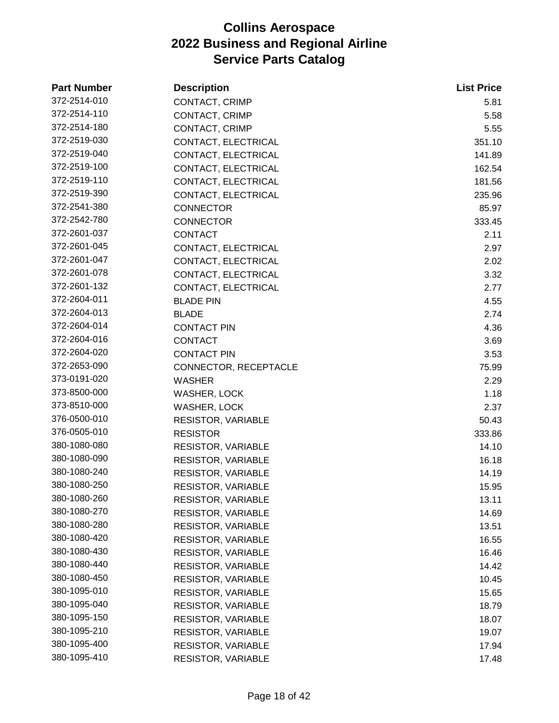| <b>Part Number</b> | <b>Description</b>        | <b>List Price</b> |
|--------------------|---------------------------|-------------------|
| 372-2514-010       | CONTACT, CRIMP            | 5.81              |
| 372-2514-110       | CONTACT, CRIMP            | 5.58              |
| 372-2514-180       | CONTACT, CRIMP            | 5.55              |
| 372-2519-030       | CONTACT, ELECTRICAL       | 351.10            |
| 372-2519-040       | CONTACT, ELECTRICAL       | 141.89            |
| 372-2519-100       | CONTACT, ELECTRICAL       | 162.54            |
| 372-2519-110       | CONTACT, ELECTRICAL       | 181.56            |
| 372-2519-390       | CONTACT, ELECTRICAL       | 235.96            |
| 372-2541-380       | <b>CONNECTOR</b>          | 85.97             |
| 372-2542-780       | <b>CONNECTOR</b>          | 333.45            |
| 372-2601-037       | <b>CONTACT</b>            | 2.11              |
| 372-2601-045       | CONTACT, ELECTRICAL       | 2.97              |
| 372-2601-047       | CONTACT, ELECTRICAL       | 2.02              |
| 372-2601-078       | CONTACT, ELECTRICAL       | 3.32              |
| 372-2601-132       | CONTACT, ELECTRICAL       | 2.77              |
| 372-2604-011       | <b>BLADE PIN</b>          | 4.55              |
| 372-2604-013       | <b>BLADE</b>              | 2.74              |
| 372-2604-014       | <b>CONTACT PIN</b>        | 4.36              |
| 372-2604-016       | <b>CONTACT</b>            | 3.69              |
| 372-2604-020       | <b>CONTACT PIN</b>        | 3.53              |
| 372-2653-090       | CONNECTOR, RECEPTACLE     | 75.99             |
| 373-0191-020       | <b>WASHER</b>             | 2.29              |
| 373-8500-000       | WASHER, LOCK              | 1.18              |
| 373-8510-000       | WASHER, LOCK              | 2.37              |
| 376-0500-010       | RESISTOR, VARIABLE        | 50.43             |
| 376-0505-010       | <b>RESISTOR</b>           | 333.86            |
| 380-1080-080       | <b>RESISTOR, VARIABLE</b> | 14.10             |
| 380-1080-090       | <b>RESISTOR, VARIABLE</b> | 16.18             |
| 380-1080-240       | <b>RESISTOR, VARIABLE</b> | 14.19             |
| 380-1080-250       | <b>RESISTOR, VARIABLE</b> | 15.95             |
| 380-1080-260       | <b>RESISTOR, VARIABLE</b> | 13.11             |
| 380-1080-270       | <b>RESISTOR, VARIABLE</b> | 14.69             |
| 380-1080-280       | <b>RESISTOR, VARIABLE</b> | 13.51             |
| 380-1080-420       | <b>RESISTOR, VARIABLE</b> | 16.55             |
| 380-1080-430       | <b>RESISTOR, VARIABLE</b> | 16.46             |
| 380-1080-440       | <b>RESISTOR, VARIABLE</b> | 14.42             |
| 380-1080-450       | <b>RESISTOR, VARIABLE</b> | 10.45             |
| 380-1095-010       | <b>RESISTOR, VARIABLE</b> | 15.65             |
| 380-1095-040       | <b>RESISTOR, VARIABLE</b> | 18.79             |
| 380-1095-150       | <b>RESISTOR, VARIABLE</b> | 18.07             |
| 380-1095-210       | <b>RESISTOR, VARIABLE</b> | 19.07             |
| 380-1095-400       | <b>RESISTOR, VARIABLE</b> | 17.94             |
| 380-1095-410       | <b>RESISTOR, VARIABLE</b> | 17.48             |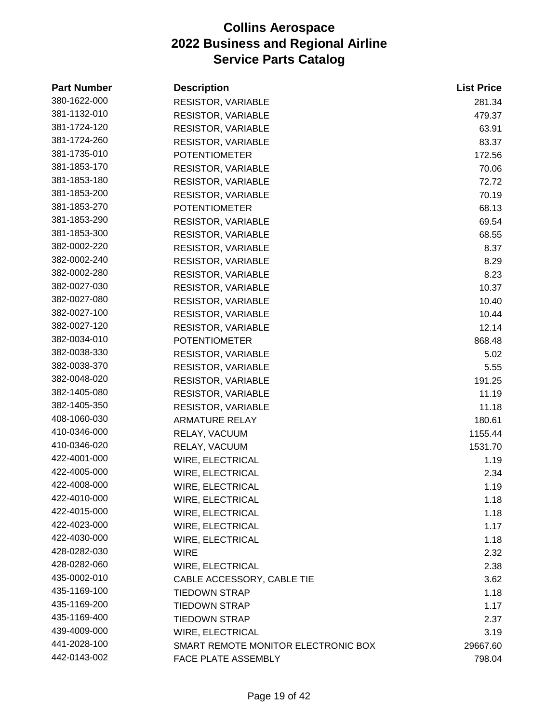| <b>Part Number</b> | <b>Description</b>                  | <b>List Price</b> |
|--------------------|-------------------------------------|-------------------|
| 380-1622-000       | RESISTOR, VARIABLE                  | 281.34            |
| 381-1132-010       | <b>RESISTOR, VARIABLE</b>           | 479.37            |
| 381-1724-120       | <b>RESISTOR, VARIABLE</b>           | 63.91             |
| 381-1724-260       | <b>RESISTOR, VARIABLE</b>           | 83.37             |
| 381-1735-010       | <b>POTENTIOMETER</b>                | 172.56            |
| 381-1853-170       | <b>RESISTOR, VARIABLE</b>           | 70.06             |
| 381-1853-180       | RESISTOR, VARIABLE                  | 72.72             |
| 381-1853-200       | <b>RESISTOR, VARIABLE</b>           | 70.19             |
| 381-1853-270       | <b>POTENTIOMETER</b>                | 68.13             |
| 381-1853-290       | <b>RESISTOR, VARIABLE</b>           | 69.54             |
| 381-1853-300       | <b>RESISTOR, VARIABLE</b>           | 68.55             |
| 382-0002-220       | <b>RESISTOR, VARIABLE</b>           | 8.37              |
| 382-0002-240       | <b>RESISTOR, VARIABLE</b>           | 8.29              |
| 382-0002-280       | RESISTOR, VARIABLE                  | 8.23              |
| 382-0027-030       | <b>RESISTOR, VARIABLE</b>           | 10.37             |
| 382-0027-080       | <b>RESISTOR, VARIABLE</b>           | 10.40             |
| 382-0027-100       | <b>RESISTOR, VARIABLE</b>           | 10.44             |
| 382-0027-120       | <b>RESISTOR, VARIABLE</b>           | 12.14             |
| 382-0034-010       | <b>POTENTIOMETER</b>                | 868.48            |
| 382-0038-330       | <b>RESISTOR, VARIABLE</b>           | 5.02              |
| 382-0038-370       | RESISTOR, VARIABLE                  | 5.55              |
| 382-0048-020       | <b>RESISTOR, VARIABLE</b>           | 191.25            |
| 382-1405-080       | <b>RESISTOR, VARIABLE</b>           | 11.19             |
| 382-1405-350       | <b>RESISTOR, VARIABLE</b>           | 11.18             |
| 408-1060-030       | <b>ARMATURE RELAY</b>               | 180.61            |
| 410-0346-000       | RELAY, VACUUM                       | 1155.44           |
| 410-0346-020       | RELAY, VACUUM                       | 1531.70           |
| 422-4001-000       | WIRE, ELECTRICAL                    | 1.19              |
| 422-4005-000       | WIRE, ELECTRICAL                    | 2.34              |
| 422-4008-000       | WIRE, ELECTRICAL                    | 1.19              |
| 422-4010-000       | WIRE, ELECTRICAL                    | 1.18              |
| 422-4015-000       | WIRE, ELECTRICAL                    | 1.18              |
| 422-4023-000       | WIRE, ELECTRICAL                    | 1.17              |
| 422-4030-000       | <b>WIRE, ELECTRICAL</b>             | 1.18              |
| 428-0282-030       | WIRE                                | 2.32              |
| 428-0282-060       | WIRE, ELECTRICAL                    | 2.38              |
| 435-0002-010       | CABLE ACCESSORY, CABLE TIE          | 3.62              |
| 435-1169-100       | <b>TIEDOWN STRAP</b>                | 1.18              |
| 435-1169-200       | <b>TIEDOWN STRAP</b>                | 1.17              |
| 435-1169-400       | <b>TIEDOWN STRAP</b>                | 2.37              |
| 439-4009-000       | WIRE, ELECTRICAL                    | 3.19              |
| 441-2028-100       | SMART REMOTE MONITOR ELECTRONIC BOX | 29667.60          |
| 442-0143-002       | FACE PLATE ASSEMBLY                 | 798.04            |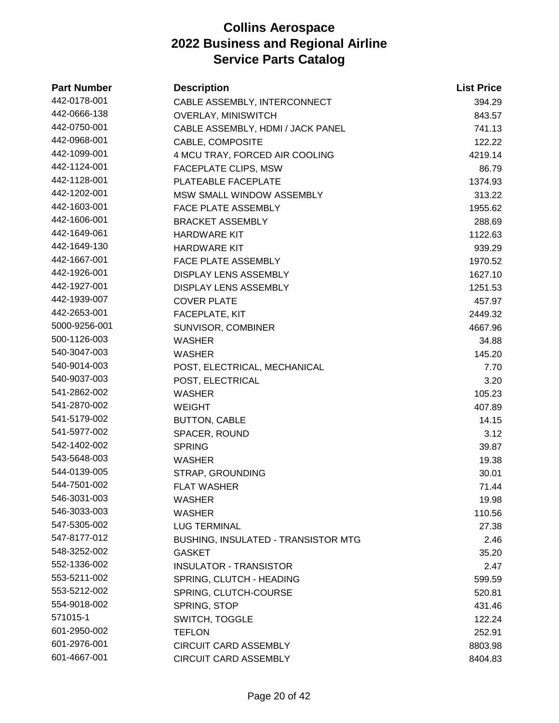| <b>Part Number</b> | <b>Description</b>                         | <b>List Price</b> |
|--------------------|--------------------------------------------|-------------------|
| 442-0178-001       | CABLE ASSEMBLY, INTERCONNECT               | 394.29            |
| 442-0666-138       | <b>OVERLAY, MINISWITCH</b>                 | 843.57            |
| 442-0750-001       | CABLE ASSEMBLY, HDMI / JACK PANEL          | 741.13            |
| 442-0968-001       | CABLE, COMPOSITE                           | 122.22            |
| 442-1099-001       | 4 MCU TRAY, FORCED AIR COOLING             | 4219.14           |
| 442-1124-001       | FACEPLATE CLIPS, MSW                       | 86.79             |
| 442-1128-001       | PLATEABLE FACEPLATE                        | 1374.93           |
| 442-1202-001       | <b>MSW SMALL WINDOW ASSEMBLY</b>           | 313.22            |
| 442-1603-001       | <b>FACE PLATE ASSEMBLY</b>                 | 1955.62           |
| 442-1606-001       | <b>BRACKET ASSEMBLY</b>                    | 288.69            |
| 442-1649-061       | <b>HARDWARE KIT</b>                        | 1122.63           |
| 442-1649-130       | <b>HARDWARE KIT</b>                        | 939.29            |
| 442-1667-001       | <b>FACE PLATE ASSEMBLY</b>                 | 1970.52           |
| 442-1926-001       | <b>DISPLAY LENS ASSEMBLY</b>               | 1627.10           |
| 442-1927-001       | <b>DISPLAY LENS ASSEMBLY</b>               | 1251.53           |
| 442-1939-007       | <b>COVER PLATE</b>                         | 457.97            |
| 442-2653-001       | <b>FACEPLATE, KIT</b>                      | 2449.32           |
| 5000-9256-001      | SUNVISOR, COMBINER                         | 4667.96           |
| 500-1126-003       | <b>WASHER</b>                              | 34.88             |
| 540-3047-003       | <b>WASHER</b>                              | 145.20            |
| 540-9014-003       | POST, ELECTRICAL, MECHANICAL               | 7.70              |
| 540-9037-003       | POST, ELECTRICAL                           | 3.20              |
| 541-2862-002       | <b>WASHER</b>                              | 105.23            |
| 541-2870-002       | <b>WEIGHT</b>                              | 407.89            |
| 541-5179-002       | <b>BUTTON, CABLE</b>                       | 14.15             |
| 541-5977-002       | SPACER, ROUND                              | 3.12              |
| 542-1402-002       | <b>SPRING</b>                              | 39.87             |
| 543-5648-003       | WASHER                                     | 19.38             |
| 544-0139-005       | STRAP, GROUNDING                           | 30.01             |
| 544-7501-002       | <b>FLAT WASHER</b>                         | 71.44             |
| 546-3031-003       | WASHER                                     | 19.98             |
| 546-3033-003       | <b>WASHER</b>                              | 110.56            |
| 547-5305-002       | <b>LUG TERMINAL</b>                        | 27.38             |
| 547-8177-012       | <b>BUSHING, INSULATED - TRANSISTOR MTG</b> | 2.46              |
| 548-3252-002       | <b>GASKET</b>                              | 35.20             |
| 552-1336-002       | <b>INSULATOR - TRANSISTOR</b>              | 2.47              |
| 553-5211-002       | SPRING, CLUTCH - HEADING                   | 599.59            |
| 553-5212-002       | SPRING, CLUTCH-COURSE                      | 520.81            |
| 554-9018-002       | SPRING, STOP                               | 431.46            |
| 571015-1           | <b>SWITCH, TOGGLE</b>                      | 122.24            |
| 601-2950-002       | <b>TEFLON</b>                              | 252.91            |
| 601-2976-001       | <b>CIRCUIT CARD ASSEMBLY</b>               | 8803.98           |
| 601-4667-001       | CIRCUIT CARD ASSEMBLY                      | 8404.83           |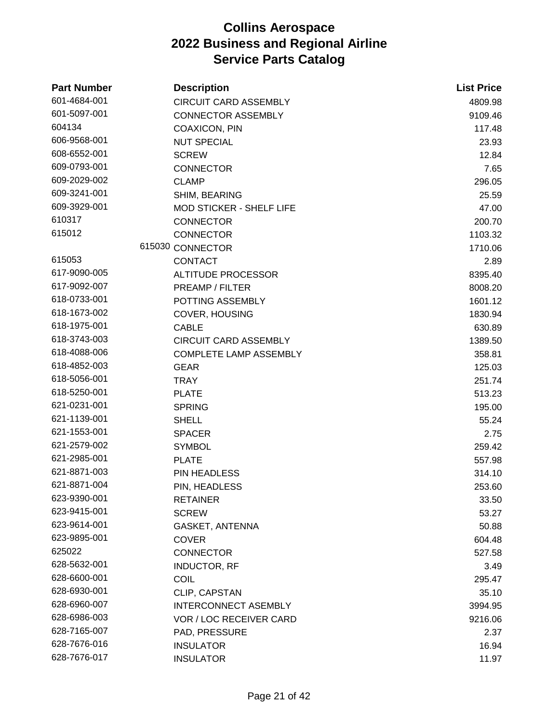| <b>Part Number</b> | <b>Description</b>              | <b>List Price</b> |
|--------------------|---------------------------------|-------------------|
| 601-4684-001       | <b>CIRCUIT CARD ASSEMBLY</b>    | 4809.98           |
| 601-5097-001       | <b>CONNECTOR ASSEMBLY</b>       | 9109.46           |
| 604134             | <b>COAXICON, PIN</b>            | 117.48            |
| 606-9568-001       | <b>NUT SPECIAL</b>              | 23.93             |
| 608-6552-001       | <b>SCREW</b>                    | 12.84             |
| 609-0793-001       | <b>CONNECTOR</b>                | 7.65              |
| 609-2029-002       | <b>CLAMP</b>                    | 296.05            |
| 609-3241-001       | SHIM, BEARING                   | 25.59             |
| 609-3929-001       | <b>MOD STICKER - SHELF LIFE</b> | 47.00             |
| 610317             | <b>CONNECTOR</b>                | 200.70            |
| 615012             | <b>CONNECTOR</b>                | 1103.32           |
|                    | 615030 CONNECTOR                | 1710.06           |
| 615053             | <b>CONTACT</b>                  | 2.89              |
| 617-9090-005       | <b>ALTITUDE PROCESSOR</b>       | 8395.40           |
| 617-9092-007       | PREAMP / FILTER                 | 8008.20           |
| 618-0733-001       | POTTING ASSEMBLY                | 1601.12           |
| 618-1673-002       | COVER, HOUSING                  | 1830.94           |
| 618-1975-001       | <b>CABLE</b>                    | 630.89            |
| 618-3743-003       | <b>CIRCUIT CARD ASSEMBLY</b>    | 1389.50           |
| 618-4088-006       | <b>COMPLETE LAMP ASSEMBLY</b>   | 358.81            |
| 618-4852-003       | <b>GEAR</b>                     | 125.03            |
| 618-5056-001       | <b>TRAY</b>                     | 251.74            |
| 618-5250-001       | <b>PLATE</b>                    | 513.23            |
| 621-0231-001       | <b>SPRING</b>                   | 195.00            |
| 621-1139-001       | <b>SHELL</b>                    | 55.24             |
| 621-1553-001       | <b>SPACER</b>                   | 2.75              |
| 621-2579-002       | <b>SYMBOL</b>                   | 259.42            |
| 621-2985-001       | <b>PLATE</b>                    | 557.98            |
| 621-8871-003       | PIN HEADLESS                    | 314.10            |
| 621-8871-004       | PIN, HEADLESS                   | 253.60            |
| 623-9390-001       | <b>RETAINER</b>                 | 33.50             |
| 623-9415-001       | <b>SCREW</b>                    | 53.27             |
| 623-9614-001       | GASKET, ANTENNA                 | 50.88             |
| 623-9895-001       | <b>COVER</b>                    | 604.48            |
| 625022             | <b>CONNECTOR</b>                | 527.58            |
| 628-5632-001       | <b>INDUCTOR, RF</b>             | 3.49              |
| 628-6600-001       | <b>COIL</b>                     | 295.47            |
| 628-6930-001       | CLIP, CAPSTAN                   | 35.10             |
| 628-6960-007       | <b>INTERCONNECT ASEMBLY</b>     | 3994.95           |
| 628-6986-003       | <b>VOR / LOC RECEIVER CARD</b>  | 9216.06           |
| 628-7165-007       | PAD, PRESSURE                   | 2.37              |
| 628-7676-016       | <b>INSULATOR</b>                | 16.94             |
| 628-7676-017       | <b>INSULATOR</b>                | 11.97             |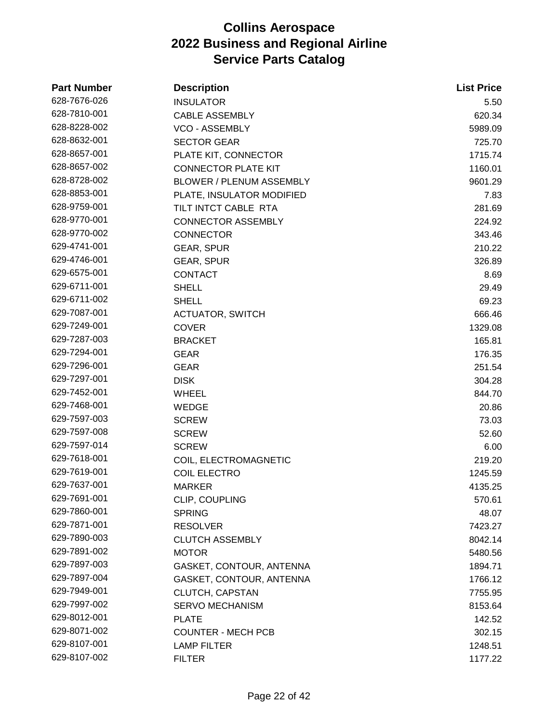| <b>Part Number</b> | <b>Description</b>              | <b>List Price</b> |
|--------------------|---------------------------------|-------------------|
| 628-7676-026       | <b>INSULATOR</b>                | 5.50              |
| 628-7810-001       | <b>CABLE ASSEMBLY</b>           | 620.34            |
| 628-8228-002       | <b>VCO - ASSEMBLY</b>           | 5989.09           |
| 628-8632-001       | <b>SECTOR GEAR</b>              | 725.70            |
| 628-8657-001       | PLATE KIT, CONNECTOR            | 1715.74           |
| 628-8657-002       | <b>CONNECTOR PLATE KIT</b>      | 1160.01           |
| 628-8728-002       | <b>BLOWER / PLENUM ASSEMBLY</b> | 9601.29           |
| 628-8853-001       | PLATE, INSULATOR MODIFIED       | 7.83              |
| 628-9759-001       | TILT INTCT CABLE RTA            | 281.69            |
| 628-9770-001       | <b>CONNECTOR ASSEMBLY</b>       | 224.92            |
| 628-9770-002       | <b>CONNECTOR</b>                | 343.46            |
| 629-4741-001       | <b>GEAR, SPUR</b>               | 210.22            |
| 629-4746-001       | <b>GEAR, SPUR</b>               | 326.89            |
| 629-6575-001       | <b>CONTACT</b>                  | 8.69              |
| 629-6711-001       | <b>SHELL</b>                    | 29.49             |
| 629-6711-002       | <b>SHELL</b>                    | 69.23             |
| 629-7087-001       | <b>ACTUATOR, SWITCH</b>         | 666.46            |
| 629-7249-001       | <b>COVER</b>                    | 1329.08           |
| 629-7287-003       | <b>BRACKET</b>                  | 165.81            |
| 629-7294-001       | <b>GEAR</b>                     | 176.35            |
| 629-7296-001       | <b>GEAR</b>                     | 251.54            |
| 629-7297-001       | <b>DISK</b>                     | 304.28            |
| 629-7452-001       | <b>WHEEL</b>                    | 844.70            |
| 629-7468-001       | <b>WEDGE</b>                    | 20.86             |
| 629-7597-003       | <b>SCREW</b>                    | 73.03             |
| 629-7597-008       | <b>SCREW</b>                    | 52.60             |
| 629-7597-014       | <b>SCREW</b>                    | 6.00              |
| 629-7618-001       | COIL, ELECTROMAGNETIC           | 219.20            |
| 629-7619-001       | <b>COIL ELECTRO</b>             | 1245.59           |
| 629-7637-001       | <b>MARKER</b>                   | 4135.25           |
| 629-7691-001       | CLIP, COUPLING                  | 570.61            |
| 629-7860-001       | <b>SPRING</b>                   | 48.07             |
| 629-7871-001       | <b>RESOLVER</b>                 | 7423.27           |
| 629-7890-003       | <b>CLUTCH ASSEMBLY</b>          | 8042.14           |
| 629-7891-002       | <b>MOTOR</b>                    | 5480.56           |
| 629-7897-003       | GASKET, CONTOUR, ANTENNA        | 1894.71           |
| 629-7897-004       | GASKET, CONTOUR, ANTENNA        | 1766.12           |
| 629-7949-001       | CLUTCH, CAPSTAN                 | 7755.95           |
| 629-7997-002       | <b>SERVO MECHANISM</b>          | 8153.64           |
| 629-8012-001       | <b>PLATE</b>                    | 142.52            |
| 629-8071-002       | <b>COUNTER - MECH PCB</b>       | 302.15            |
| 629-8107-001       | <b>LAMP FILTER</b>              | 1248.51           |
| 629-8107-002       | <b>FILTER</b>                   | 1177.22           |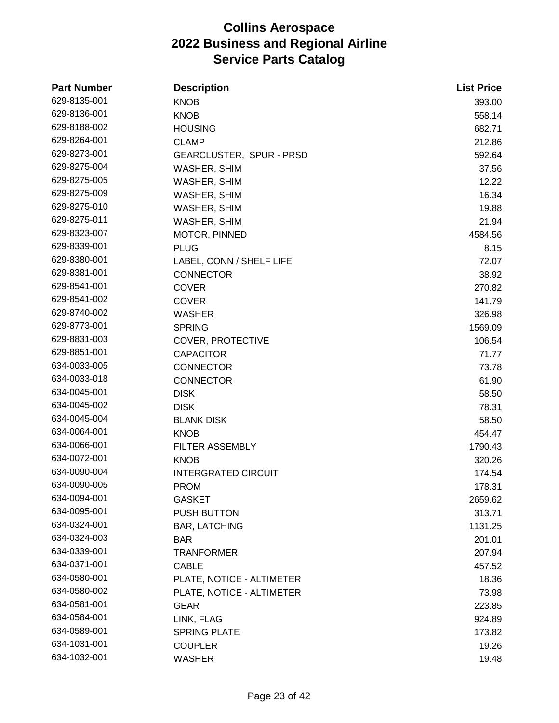| <b>Part Number</b> | <b>Description</b>         | <b>List Price</b> |
|--------------------|----------------------------|-------------------|
| 629-8135-001       | <b>KNOB</b>                | 393.00            |
| 629-8136-001       | <b>KNOB</b>                | 558.14            |
| 629-8188-002       | <b>HOUSING</b>             | 682.71            |
| 629-8264-001       | <b>CLAMP</b>               | 212.86            |
| 629-8273-001       | GEARCLUSTER, SPUR - PRSD   | 592.64            |
| 629-8275-004       | WASHER, SHIM               | 37.56             |
| 629-8275-005       | WASHER, SHIM               | 12.22             |
| 629-8275-009       | WASHER, SHIM               | 16.34             |
| 629-8275-010       | <b>WASHER, SHIM</b>        | 19.88             |
| 629-8275-011       | WASHER, SHIM               | 21.94             |
| 629-8323-007       | MOTOR, PINNED              | 4584.56           |
| 629-8339-001       | <b>PLUG</b>                | 8.15              |
| 629-8380-001       | LABEL, CONN / SHELF LIFE   | 72.07             |
| 629-8381-001       | <b>CONNECTOR</b>           | 38.92             |
| 629-8541-001       | <b>COVER</b>               | 270.82            |
| 629-8541-002       | <b>COVER</b>               | 141.79            |
| 629-8740-002       | <b>WASHER</b>              | 326.98            |
| 629-8773-001       | <b>SPRING</b>              | 1569.09           |
| 629-8831-003       | <b>COVER, PROTECTIVE</b>   | 106.54            |
| 629-8851-001       | <b>CAPACITOR</b>           | 71.77             |
| 634-0033-005       | <b>CONNECTOR</b>           | 73.78             |
| 634-0033-018       | <b>CONNECTOR</b>           | 61.90             |
| 634-0045-001       | <b>DISK</b>                | 58.50             |
| 634-0045-002       | <b>DISK</b>                | 78.31             |
| 634-0045-004       | <b>BLANK DISK</b>          | 58.50             |
| 634-0064-001       | <b>KNOB</b>                | 454.47            |
| 634-0066-001       | <b>FILTER ASSEMBLY</b>     | 1790.43           |
| 634-0072-001       | <b>KNOB</b>                | 320.26            |
| 634-0090-004       | <b>INTERGRATED CIRCUIT</b> | 174.54            |
| 634-0090-005       | <b>PROM</b>                | 178.31            |
| 634-0094-001       | <b>GASKET</b>              | 2659.62           |
| 634-0095-001       | <b>PUSH BUTTON</b>         | 313.71            |
| 634-0324-001       | <b>BAR, LATCHING</b>       | 1131.25           |
| 634-0324-003       | <b>BAR</b>                 | 201.01            |
| 634-0339-001       | TRANFORMER                 | 207.94            |
| 634-0371-001       | <b>CABLE</b>               | 457.52            |
| 634-0580-001       | PLATE, NOTICE - ALTIMETER  | 18.36             |
| 634-0580-002       | PLATE, NOTICE - ALTIMETER  | 73.98             |
| 634-0581-001       | <b>GEAR</b>                | 223.85            |
| 634-0584-001       | LINK, FLAG                 | 924.89            |
| 634-0589-001       | <b>SPRING PLATE</b>        | 173.82            |
| 634-1031-001       | <b>COUPLER</b>             | 19.26             |
| 634-1032-001       | <b>WASHER</b>              | 19.48             |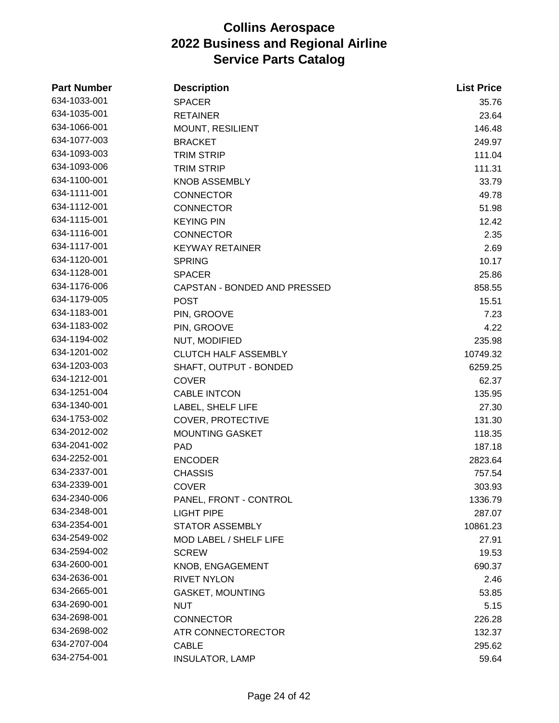| <b>Part Number</b> | <b>Description</b>           | <b>List Price</b> |
|--------------------|------------------------------|-------------------|
| 634-1033-001       | <b>SPACER</b>                | 35.76             |
| 634-1035-001       | <b>RETAINER</b>              | 23.64             |
| 634-1066-001       | MOUNT, RESILIENT             | 146.48            |
| 634-1077-003       | <b>BRACKET</b>               | 249.97            |
| 634-1093-003       | <b>TRIM STRIP</b>            | 111.04            |
| 634-1093-006       | <b>TRIM STRIP</b>            | 111.31            |
| 634-1100-001       | <b>KNOB ASSEMBLY</b>         | 33.79             |
| 634-1111-001       | <b>CONNECTOR</b>             | 49.78             |
| 634-1112-001       | <b>CONNECTOR</b>             | 51.98             |
| 634-1115-001       | <b>KEYING PIN</b>            | 12.42             |
| 634-1116-001       | <b>CONNECTOR</b>             | 2.35              |
| 634-1117-001       | <b>KEYWAY RETAINER</b>       | 2.69              |
| 634-1120-001       | <b>SPRING</b>                | 10.17             |
| 634-1128-001       | <b>SPACER</b>                | 25.86             |
| 634-1176-006       | CAPSTAN - BONDED AND PRESSED | 858.55            |
| 634-1179-005       | <b>POST</b>                  | 15.51             |
| 634-1183-001       | PIN, GROOVE                  | 7.23              |
| 634-1183-002       | PIN, GROOVE                  | 4.22              |
| 634-1194-002       | NUT, MODIFIED                | 235.98            |
| 634-1201-002       | <b>CLUTCH HALF ASSEMBLY</b>  | 10749.32          |
| 634-1203-003       | SHAFT, OUTPUT - BONDED       | 6259.25           |
| 634-1212-001       | <b>COVER</b>                 | 62.37             |
| 634-1251-004       | <b>CABLE INTCON</b>          | 135.95            |
| 634-1340-001       | LABEL, SHELF LIFE            | 27.30             |
| 634-1753-002       | <b>COVER, PROTECTIVE</b>     | 131.30            |
| 634-2012-002       | <b>MOUNTING GASKET</b>       | 118.35            |
| 634-2041-002       | <b>PAD</b>                   | 187.18            |
| 634-2252-001       | <b>ENCODER</b>               | 2823.64           |
| 634-2337-001       | <b>CHASSIS</b>               | 757.54            |
| 634-2339-001       | <b>COVER</b>                 | 303.93            |
| 634-2340-006       | PANEL, FRONT - CONTROL       | 1336.79           |
| 634-2348-001       | <b>LIGHT PIPE</b>            | 287.07            |
| 634-2354-001       | <b>STATOR ASSEMBLY</b>       | 10861.23          |
| 634-2549-002       | MOD LABEL / SHELF LIFE       | 27.91             |
| 634-2594-002       | <b>SCREW</b>                 | 19.53             |
| 634-2600-001       | KNOB, ENGAGEMENT             | 690.37            |
| 634-2636-001       | <b>RIVET NYLON</b>           | 2.46              |
| 634-2665-001       | <b>GASKET, MOUNTING</b>      | 53.85             |
| 634-2690-001       | <b>NUT</b>                   | 5.15              |
| 634-2698-001       | <b>CONNECTOR</b>             | 226.28            |
| 634-2698-002       | ATR CONNECTORECTOR           | 132.37            |
| 634-2707-004       | <b>CABLE</b>                 | 295.62            |
| 634-2754-001       | <b>INSULATOR, LAMP</b>       | 59.64             |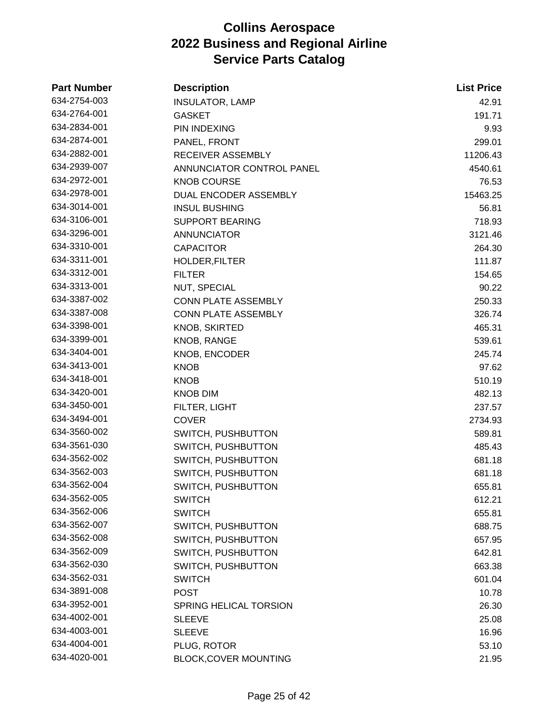| <b>Part Number</b> | <b>Description</b>           | <b>List Price</b> |
|--------------------|------------------------------|-------------------|
| 634-2754-003       | <b>INSULATOR, LAMP</b>       | 42.91             |
| 634-2764-001       | <b>GASKET</b>                | 191.71            |
| 634-2834-001       | PIN INDEXING                 | 9.93              |
| 634-2874-001       | PANEL, FRONT                 | 299.01            |
| 634-2882-001       | RECEIVER ASSEMBLY            | 11206.43          |
| 634-2939-007       | ANNUNCIATOR CONTROL PANEL    | 4540.61           |
| 634-2972-001       | <b>KNOB COURSE</b>           | 76.53             |
| 634-2978-001       | DUAL ENCODER ASSEMBLY        | 15463.25          |
| 634-3014-001       | <b>INSUL BUSHING</b>         | 56.81             |
| 634-3106-001       | <b>SUPPORT BEARING</b>       | 718.93            |
| 634-3296-001       | <b>ANNUNCIATOR</b>           | 3121.46           |
| 634-3310-001       | <b>CAPACITOR</b>             | 264.30            |
| 634-3311-001       | HOLDER, FILTER               | 111.87            |
| 634-3312-001       | <b>FILTER</b>                | 154.65            |
| 634-3313-001       | NUT, SPECIAL                 | 90.22             |
| 634-3387-002       | CONN PLATE ASSEMBLY          | 250.33            |
| 634-3387-008       | <b>CONN PLATE ASSEMBLY</b>   | 326.74            |
| 634-3398-001       | <b>KNOB, SKIRTED</b>         | 465.31            |
| 634-3399-001       | KNOB, RANGE                  | 539.61            |
| 634-3404-001       | KNOB, ENCODER                | 245.74            |
| 634-3413-001       | <b>KNOB</b>                  | 97.62             |
| 634-3418-001       | <b>KNOB</b>                  | 510.19            |
| 634-3420-001       | <b>KNOB DIM</b>              | 482.13            |
| 634-3450-001       | FILTER, LIGHT                | 237.57            |
| 634-3494-001       | <b>COVER</b>                 | 2734.93           |
| 634-3560-002       | SWITCH, PUSHBUTTON           | 589.81            |
| 634-3561-030       | SWITCH, PUSHBUTTON           | 485.43            |
| 634-3562-002       | SWITCH, PUSHBUTTON           | 681.18            |
| 634-3562-003       | SWITCH, PUSHBUTTON           | 681.18            |
| 634-3562-004       | SWITCH, PUSHBUTTON           | 655.81            |
| 634-3562-005       | <b>SWITCH</b>                | 612.21            |
| 634-3562-006       | <b>SWITCH</b>                | 655.81            |
| 634-3562-007       | SWITCH, PUSHBUTTON           | 688.75            |
| 634-3562-008       | SWITCH, PUSHBUTTON           | 657.95            |
| 634-3562-009       | SWITCH, PUSHBUTTON           | 642.81            |
| 634-3562-030       | SWITCH, PUSHBUTTON           | 663.38            |
| 634-3562-031       | <b>SWITCH</b>                | 601.04            |
| 634-3891-008       | <b>POST</b>                  | 10.78             |
| 634-3952-001       | SPRING HELICAL TORSION       | 26.30             |
| 634-4002-001       | <b>SLEEVE</b>                | 25.08             |
| 634-4003-001       | <b>SLEEVE</b>                | 16.96             |
| 634-4004-001       | PLUG, ROTOR                  | 53.10             |
| 634-4020-001       | <b>BLOCK, COVER MOUNTING</b> | 21.95             |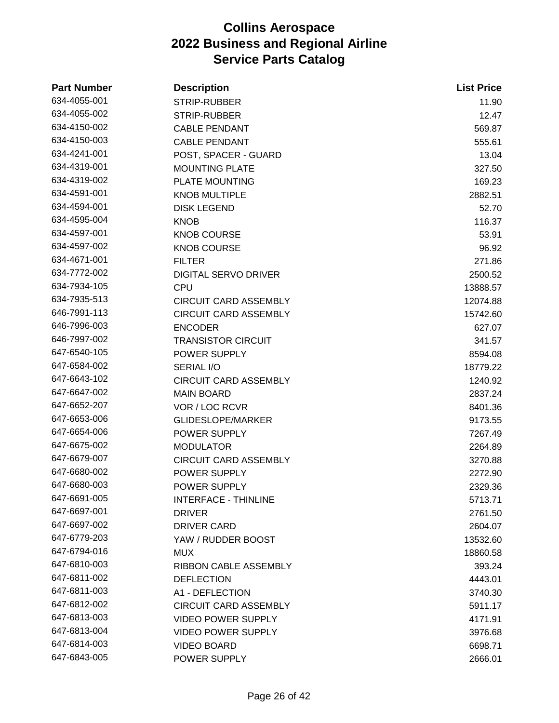| <b>Part Number</b> | <b>Description</b>           | <b>List Price</b> |
|--------------------|------------------------------|-------------------|
| 634-4055-001       | STRIP-RUBBER                 | 11.90             |
| 634-4055-002       | <b>STRIP-RUBBER</b>          | 12.47             |
| 634-4150-002       | <b>CABLE PENDANT</b>         | 569.87            |
| 634-4150-003       | <b>CABLE PENDANT</b>         | 555.61            |
| 634-4241-001       | POST, SPACER - GUARD         | 13.04             |
| 634-4319-001       | <b>MOUNTING PLATE</b>        | 327.50            |
| 634-4319-002       | <b>PLATE MOUNTING</b>        | 169.23            |
| 634-4591-001       | <b>KNOB MULTIPLE</b>         | 2882.51           |
| 634-4594-001       | <b>DISK LEGEND</b>           | 52.70             |
| 634-4595-004       | <b>KNOB</b>                  | 116.37            |
| 634-4597-001       | <b>KNOB COURSE</b>           | 53.91             |
| 634-4597-002       | <b>KNOB COURSE</b>           | 96.92             |
| 634-4671-001       | <b>FILTER</b>                | 271.86            |
| 634-7772-002       | <b>DIGITAL SERVO DRIVER</b>  | 2500.52           |
| 634-7934-105       | <b>CPU</b>                   | 13888.57          |
| 634-7935-513       | <b>CIRCUIT CARD ASSEMBLY</b> | 12074.88          |
| 646-7991-113       | <b>CIRCUIT CARD ASSEMBLY</b> | 15742.60          |
| 646-7996-003       | <b>ENCODER</b>               | 627.07            |
| 646-7997-002       | <b>TRANSISTOR CIRCUIT</b>    | 341.57            |
| 647-6540-105       | POWER SUPPLY                 | 8594.08           |
| 647-6584-002       | SERIAL I/O                   | 18779.22          |
| 647-6643-102       | <b>CIRCUIT CARD ASSEMBLY</b> | 1240.92           |
| 647-6647-002       | <b>MAIN BOARD</b>            | 2837.24           |
| 647-6652-207       | VOR / LOC RCVR               | 8401.36           |
| 647-6653-006       | <b>GLIDESLOPE/MARKER</b>     | 9173.55           |
| 647-6654-006       | POWER SUPPLY                 | 7267.49           |
| 647-6675-002       | <b>MODULATOR</b>             | 2264.89           |
| 647-6679-007       | <b>CIRCUIT CARD ASSEMBLY</b> | 3270.88           |
| 647-6680-002       | POWER SUPPLY                 | 2272.90           |
| 647-6680-003       | POWER SUPPLY                 | 2329.36           |
| 647-6691-005       | <b>INTERFACE - THINLINE</b>  | 5713.71           |
| 647-6697-001       | <b>DRIVER</b>                | 2761.50           |
| 647-6697-002       | <b>DRIVER CARD</b>           | 2604.07           |
| 647-6779-203       | YAW / RUDDER BOOST           | 13532.60          |
| 647-6794-016       | <b>MUX</b>                   | 18860.58          |
| 647-6810-003       | RIBBON CABLE ASSEMBLY        | 393.24            |
| 647-6811-002       | <b>DEFLECTION</b>            | 4443.01           |
| 647-6811-003       | A1 - DEFLECTION              | 3740.30           |
| 647-6812-002       | <b>CIRCUIT CARD ASSEMBLY</b> | 5911.17           |
| 647-6813-003       | <b>VIDEO POWER SUPPLY</b>    | 4171.91           |
| 647-6813-004       | <b>VIDEO POWER SUPPLY</b>    | 3976.68           |
| 647-6814-003       | <b>VIDEO BOARD</b>           | 6698.71           |
| 647-6843-005       | POWER SUPPLY                 | 2666.01           |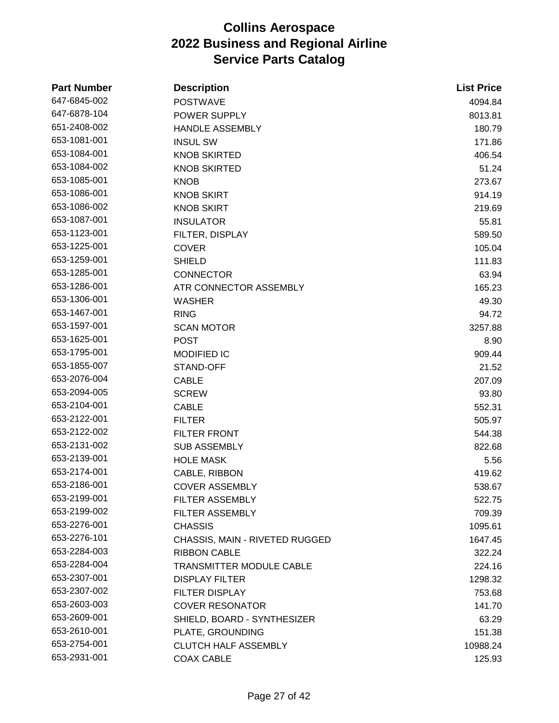| <b>Part Number</b> | <b>Description</b>              | <b>List Price</b> |
|--------------------|---------------------------------|-------------------|
| 647-6845-002       | <b>POSTWAVE</b>                 | 4094.84           |
| 647-6878-104       | POWER SUPPLY                    | 8013.81           |
| 651-2408-002       | <b>HANDLE ASSEMBLY</b>          | 180.79            |
| 653-1081-001       | <b>INSUL SW</b>                 | 171.86            |
| 653-1084-001       | <b>KNOB SKIRTED</b>             | 406.54            |
| 653-1084-002       | <b>KNOB SKIRTED</b>             | 51.24             |
| 653-1085-001       | <b>KNOB</b>                     | 273.67            |
| 653-1086-001       | <b>KNOB SKIRT</b>               | 914.19            |
| 653-1086-002       | <b>KNOB SKIRT</b>               | 219.69            |
| 653-1087-001       | <b>INSULATOR</b>                | 55.81             |
| 653-1123-001       | FILTER, DISPLAY                 | 589.50            |
| 653-1225-001       | <b>COVER</b>                    | 105.04            |
| 653-1259-001       | <b>SHIELD</b>                   | 111.83            |
| 653-1285-001       | <b>CONNECTOR</b>                | 63.94             |
| 653-1286-001       | ATR CONNECTOR ASSEMBLY          | 165.23            |
| 653-1306-001       | <b>WASHER</b>                   | 49.30             |
| 653-1467-001       | <b>RING</b>                     | 94.72             |
| 653-1597-001       | <b>SCAN MOTOR</b>               | 3257.88           |
| 653-1625-001       | <b>POST</b>                     | 8.90              |
| 653-1795-001       | MODIFIED IC                     | 909.44            |
| 653-1855-007       | STAND-OFF                       | 21.52             |
| 653-2076-004       | <b>CABLE</b>                    | 207.09            |
| 653-2094-005       | <b>SCREW</b>                    | 93.80             |
| 653-2104-001       | <b>CABLE</b>                    | 552.31            |
| 653-2122-001       | <b>FILTER</b>                   | 505.97            |
| 653-2122-002       | <b>FILTER FRONT</b>             | 544.38            |
| 653-2131-002       | <b>SUB ASSEMBLY</b>             | 822.68            |
| 653-2139-001       | <b>HOLE MASK</b>                | 5.56              |
| 653-2174-001       | CABLE, RIBBON                   | 419.62            |
| 653-2186-001       | <b>COVER ASSEMBLY</b>           | 538.67            |
| 653-2199-001       | FILTER ASSEMBLY                 | 522.75            |
| 653-2199-002       | FILTER ASSEMBLY                 | 709.39            |
| 653-2276-001       | <b>CHASSIS</b>                  | 1095.61           |
| 653-2276-101       | CHASSIS, MAIN - RIVETED RUGGED  | 1647.45           |
| 653-2284-003       | <b>RIBBON CABLE</b>             | 322.24            |
| 653-2284-004       | <b>TRANSMITTER MODULE CABLE</b> | 224.16            |
| 653-2307-001       | <b>DISPLAY FILTER</b>           | 1298.32           |
| 653-2307-002       | <b>FILTER DISPLAY</b>           | 753.68            |
| 653-2603-003       | <b>COVER RESONATOR</b>          | 141.70            |
| 653-2609-001       | SHIELD, BOARD - SYNTHESIZER     | 63.29             |
| 653-2610-001       | PLATE, GROUNDING                | 151.38            |
| 653-2754-001       | <b>CLUTCH HALF ASSEMBLY</b>     | 10988.24          |
| 653-2931-001       | <b>COAX CABLE</b>               | 125.93            |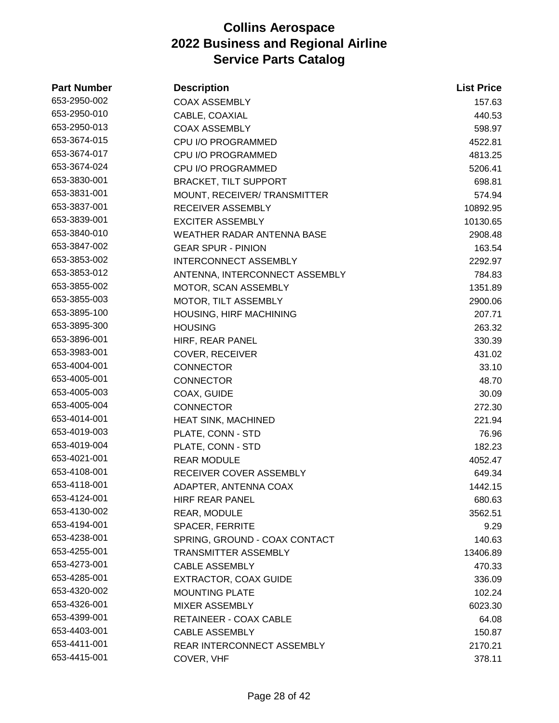| <b>Part Number</b> | <b>Description</b>             | <b>List Price</b> |
|--------------------|--------------------------------|-------------------|
| 653-2950-002       | <b>COAX ASSEMBLY</b>           | 157.63            |
| 653-2950-010       | CABLE, COAXIAL                 | 440.53            |
| 653-2950-013       | <b>COAX ASSEMBLY</b>           | 598.97            |
| 653-3674-015       | CPU I/O PROGRAMMED             | 4522.81           |
| 653-3674-017       | CPU I/O PROGRAMMED             | 4813.25           |
| 653-3674-024       | CPU I/O PROGRAMMED             | 5206.41           |
| 653-3830-001       | <b>BRACKET, TILT SUPPORT</b>   | 698.81            |
| 653-3831-001       | MOUNT, RECEIVER/ TRANSMITTER   | 574.94            |
| 653-3837-001       | RECEIVER ASSEMBLY              | 10892.95          |
| 653-3839-001       | <b>EXCITER ASSEMBLY</b>        | 10130.65          |
| 653-3840-010       | WEATHER RADAR ANTENNA BASE     | 2908.48           |
| 653-3847-002       | <b>GEAR SPUR - PINION</b>      | 163.54            |
| 653-3853-002       | <b>INTERCONNECT ASSEMBLY</b>   | 2292.97           |
| 653-3853-012       | ANTENNA, INTERCONNECT ASSEMBLY | 784.83            |
| 653-3855-002       | MOTOR, SCAN ASSEMBLY           | 1351.89           |
| 653-3855-003       | MOTOR, TILT ASSEMBLY           | 2900.06           |
| 653-3895-100       | <b>HOUSING, HIRF MACHINING</b> | 207.71            |
| 653-3895-300       | <b>HOUSING</b>                 | 263.32            |
| 653-3896-001       | HIRF, REAR PANEL               | 330.39            |
| 653-3983-001       | <b>COVER, RECEIVER</b>         | 431.02            |
| 653-4004-001       | <b>CONNECTOR</b>               | 33.10             |
| 653-4005-001       | <b>CONNECTOR</b>               | 48.70             |
| 653-4005-003       | COAX, GUIDE                    | 30.09             |
| 653-4005-004       | <b>CONNECTOR</b>               | 272.30            |
| 653-4014-001       | HEAT SINK, MACHINED            | 221.94            |
| 653-4019-003       | PLATE, CONN - STD              | 76.96             |
| 653-4019-004       | PLATE, CONN - STD              | 182.23            |
| 653-4021-001       | <b>REAR MODULE</b>             | 4052.47           |
| 653-4108-001       | RECEIVER COVER ASSEMBLY        | 649.34            |
| 653-4118-001       | ADAPTER, ANTENNA COAX          | 1442.15           |
| 653-4124-001       | <b>HIRF REAR PANEL</b>         | 680.63            |
| 653-4130-002       | REAR, MODULE                   | 3562.51           |
| 653-4194-001       | SPACER, FERRITE                | 9.29              |
| 653-4238-001       | SPRING, GROUND - COAX CONTACT  | 140.63            |
| 653-4255-001       | <b>TRANSMITTER ASSEMBLY</b>    | 13406.89          |
| 653-4273-001       | <b>CABLE ASSEMBLY</b>          | 470.33            |
| 653-4285-001       | <b>EXTRACTOR, COAX GUIDE</b>   | 336.09            |
| 653-4320-002       | <b>MOUNTING PLATE</b>          | 102.24            |
| 653-4326-001       | <b>MIXER ASSEMBLY</b>          | 6023.30           |
| 653-4399-001       | RETAINEER - COAX CABLE         | 64.08             |
| 653-4403-001       | <b>CABLE ASSEMBLY</b>          | 150.87            |
| 653-4411-001       | REAR INTERCONNECT ASSEMBLY     | 2170.21           |
| 653-4415-001       | COVER, VHF                     | 378.11            |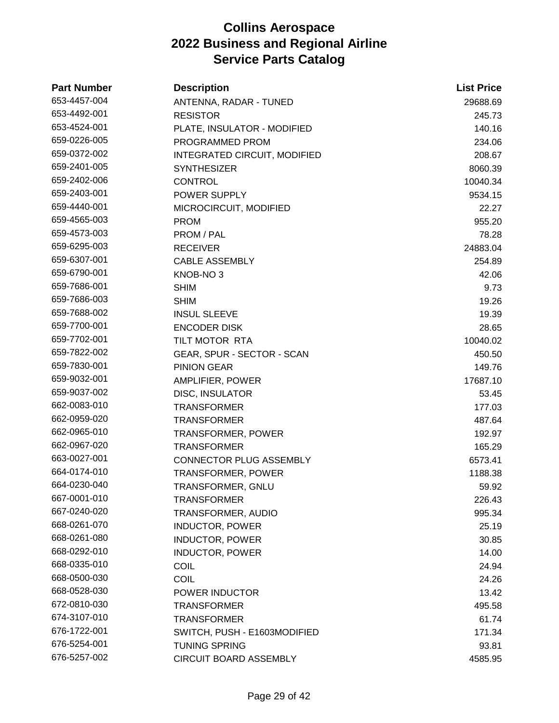| <b>Part Number</b> | <b>Description</b>                  | <b>List Price</b> |
|--------------------|-------------------------------------|-------------------|
| 653-4457-004       | ANTENNA, RADAR - TUNED              | 29688.69          |
| 653-4492-001       | <b>RESISTOR</b>                     | 245.73            |
| 653-4524-001       | PLATE, INSULATOR - MODIFIED         | 140.16            |
| 659-0226-005       | PROGRAMMED PROM                     | 234.06            |
| 659-0372-002       | <b>INTEGRATED CIRCUIT, MODIFIED</b> | 208.67            |
| 659-2401-005       | <b>SYNTHESIZER</b>                  | 8060.39           |
| 659-2402-006       | <b>CONTROL</b>                      | 10040.34          |
| 659-2403-001       | POWER SUPPLY                        | 9534.15           |
| 659-4440-001       | MICROCIRCUIT, MODIFIED              | 22.27             |
| 659-4565-003       | <b>PROM</b>                         | 955.20            |
| 659-4573-003       | PROM / PAL                          | 78.28             |
| 659-6295-003       | <b>RECEIVER</b>                     | 24883.04          |
| 659-6307-001       | <b>CABLE ASSEMBLY</b>               | 254.89            |
| 659-6790-001       | KNOB-NO <sub>3</sub>                | 42.06             |
| 659-7686-001       | <b>SHIM</b>                         | 9.73              |
| 659-7686-003       | <b>SHIM</b>                         | 19.26             |
| 659-7688-002       | <b>INSUL SLEEVE</b>                 | 19.39             |
| 659-7700-001       | <b>ENCODER DISK</b>                 | 28.65             |
| 659-7702-001       | TILT MOTOR RTA                      | 10040.02          |
| 659-7822-002       | GEAR, SPUR - SECTOR - SCAN          | 450.50            |
| 659-7830-001       | <b>PINION GEAR</b>                  | 149.76            |
| 659-9032-001       | AMPLIFIER, POWER                    | 17687.10          |
| 659-9037-002       | <b>DISC, INSULATOR</b>              | 53.45             |
| 662-0083-010       | <b>TRANSFORMER</b>                  | 177.03            |
| 662-0959-020       | <b>TRANSFORMER</b>                  | 487.64            |
| 662-0965-010       | <b>TRANSFORMER, POWER</b>           | 192.97            |
| 662-0967-020       | <b>TRANSFORMER</b>                  | 165.29            |
| 663-0027-001       | CONNECTOR PLUG ASSEMBLY             | 6573.41           |
| 664-0174-010       | TRANSFORMER, POWER                  | 1188.38           |
| 664-0230-040       | TRANSFORMER, GNLU                   | 59.92             |
| 667-0001-010       | <b>TRANSFORMER</b>                  | 226.43            |
| 667-0240-020       | TRANSFORMER, AUDIO                  | 995.34            |
| 668-0261-070       | <b>INDUCTOR, POWER</b>              | 25.19             |
| 668-0261-080       | <b>INDUCTOR, POWER</b>              | 30.85             |
| 668-0292-010       | <b>INDUCTOR, POWER</b>              | 14.00             |
| 668-0335-010       | <b>COIL</b>                         | 24.94             |
| 668-0500-030       | <b>COIL</b>                         | 24.26             |
| 668-0528-030       | POWER INDUCTOR                      | 13.42             |
| 672-0810-030       | <b>TRANSFORMER</b>                  | 495.58            |
| 674-3107-010       | <b>TRANSFORMER</b>                  | 61.74             |
| 676-1722-001       | SWITCH, PUSH - E1603MODIFIED        | 171.34            |
| 676-5254-001       | <b>TUNING SPRING</b>                | 93.81             |
| 676-5257-002       | CIRCUIT BOARD ASSEMBLY              | 4585.95           |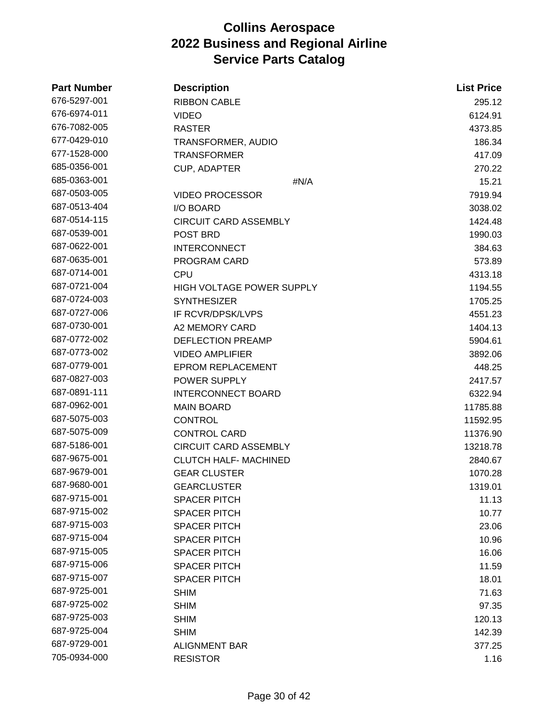| <b>Part Number</b> | <b>Description</b>           | <b>List Price</b> |
|--------------------|------------------------------|-------------------|
| 676-5297-001       | <b>RIBBON CABLE</b>          | 295.12            |
| 676-6974-011       | <b>VIDEO</b>                 | 6124.91           |
| 676-7082-005       | <b>RASTER</b>                | 4373.85           |
| 677-0429-010       | TRANSFORMER, AUDIO           | 186.34            |
| 677-1528-000       | <b>TRANSFORMER</b>           | 417.09            |
| 685-0356-001       | <b>CUP, ADAPTER</b>          | 270.22            |
| 685-0363-001       | #N/A                         | 15.21             |
| 687-0503-005       | <b>VIDEO PROCESSOR</b>       | 7919.94           |
| 687-0513-404       | I/O BOARD                    | 3038.02           |
| 687-0514-115       | <b>CIRCUIT CARD ASSEMBLY</b> | 1424.48           |
| 687-0539-001       | POST BRD                     | 1990.03           |
| 687-0622-001       | <b>INTERCONNECT</b>          | 384.63            |
| 687-0635-001       | PROGRAM CARD                 | 573.89            |
| 687-0714-001       | <b>CPU</b>                   | 4313.18           |
| 687-0721-004       | HIGH VOLTAGE POWER SUPPLY    | 1194.55           |
| 687-0724-003       | <b>SYNTHESIZER</b>           | 1705.25           |
| 687-0727-006       | IF RCVR/DPSK/LVPS            | 4551.23           |
| 687-0730-001       | A2 MEMORY CARD               | 1404.13           |
| 687-0772-002       | <b>DEFLECTION PREAMP</b>     | 5904.61           |
| 687-0773-002       | <b>VIDEO AMPLIFIER</b>       | 3892.06           |
| 687-0779-001       | <b>EPROM REPLACEMENT</b>     | 448.25            |
| 687-0827-003       | POWER SUPPLY                 | 2417.57           |
| 687-0891-111       | <b>INTERCONNECT BOARD</b>    | 6322.94           |
| 687-0962-001       | <b>MAIN BOARD</b>            | 11785.88          |
| 687-5075-003       | <b>CONTROL</b>               | 11592.95          |
| 687-5075-009       | <b>CONTROL CARD</b>          | 11376.90          |
| 687-5186-001       | <b>CIRCUIT CARD ASSEMBLY</b> | 13218.78          |
| 687-9675-001       | <b>CLUTCH HALF- MACHINED</b> | 2840.67           |
| 687-9679-001       | <b>GEAR CLUSTER</b>          | 1070.28           |
| 687-9680-001       | <b>GEARCLUSTER</b>           | 1319.01           |
| 687-9715-001       | <b>SPACER PITCH</b>          | 11.13             |
| 687-9715-002       | <b>SPACER PITCH</b>          | 10.77             |
| 687-9715-003       | <b>SPACER PITCH</b>          | 23.06             |
| 687-9715-004       | <b>SPACER PITCH</b>          | 10.96             |
| 687-9715-005       | <b>SPACER PITCH</b>          | 16.06             |
| 687-9715-006       | <b>SPACER PITCH</b>          | 11.59             |
| 687-9715-007       | <b>SPACER PITCH</b>          | 18.01             |
| 687-9725-001       | <b>SHIM</b>                  | 71.63             |
| 687-9725-002       | <b>SHIM</b>                  | 97.35             |
| 687-9725-003       | <b>SHIM</b>                  | 120.13            |
| 687-9725-004       | <b>SHIM</b>                  | 142.39            |
| 687-9729-001       | <b>ALIGNMENT BAR</b>         | 377.25            |
| 705-0934-000       | <b>RESISTOR</b>              | 1.16              |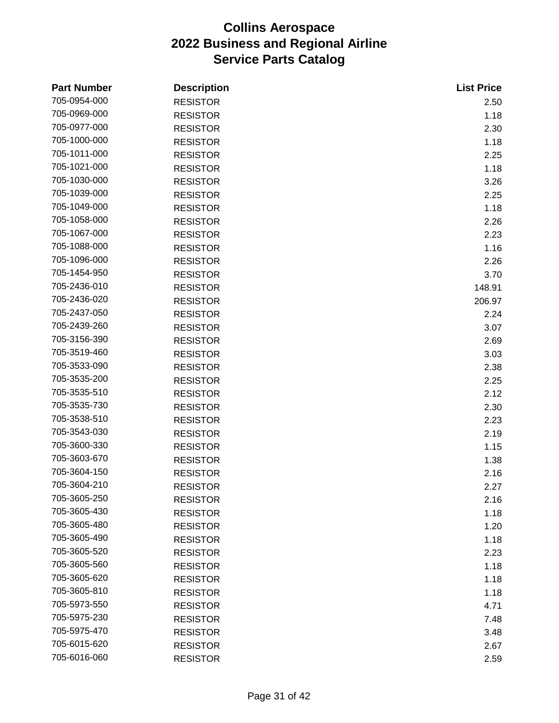| <b>Part Number</b> | <b>Description</b> | <b>List Price</b> |
|--------------------|--------------------|-------------------|
| 705-0954-000       | <b>RESISTOR</b>    | 2.50              |
| 705-0969-000       | <b>RESISTOR</b>    | 1.18              |
| 705-0977-000       | <b>RESISTOR</b>    | 2.30              |
| 705-1000-000       | <b>RESISTOR</b>    | 1.18              |
| 705-1011-000       | <b>RESISTOR</b>    | 2.25              |
| 705-1021-000       | <b>RESISTOR</b>    | 1.18              |
| 705-1030-000       | <b>RESISTOR</b>    | 3.26              |
| 705-1039-000       | <b>RESISTOR</b>    | 2.25              |
| 705-1049-000       | <b>RESISTOR</b>    | 1.18              |
| 705-1058-000       | <b>RESISTOR</b>    | 2.26              |
| 705-1067-000       | <b>RESISTOR</b>    | 2.23              |
| 705-1088-000       | <b>RESISTOR</b>    | 1.16              |
| 705-1096-000       | <b>RESISTOR</b>    | 2.26              |
| 705-1454-950       | <b>RESISTOR</b>    | 3.70              |
| 705-2436-010       | <b>RESISTOR</b>    | 148.91            |
| 705-2436-020       | <b>RESISTOR</b>    | 206.97            |
| 705-2437-050       | <b>RESISTOR</b>    | 2.24              |
| 705-2439-260       | <b>RESISTOR</b>    | 3.07              |
| 705-3156-390       | <b>RESISTOR</b>    | 2.69              |
| 705-3519-460       | <b>RESISTOR</b>    | 3.03              |
| 705-3533-090       | <b>RESISTOR</b>    | 2.38              |
| 705-3535-200       | <b>RESISTOR</b>    | 2.25              |
| 705-3535-510       | <b>RESISTOR</b>    | 2.12              |
| 705-3535-730       | <b>RESISTOR</b>    | 2.30              |
| 705-3538-510       | <b>RESISTOR</b>    | 2.23              |
| 705-3543-030       | <b>RESISTOR</b>    | 2.19              |
| 705-3600-330       | <b>RESISTOR</b>    | 1.15              |
| 705-3603-670       | <b>RESISTOR</b>    | 1.38              |
| 705-3604-150       | <b>RESISTOR</b>    | 2.16              |
| 705-3604-210       | <b>RESISTOR</b>    | 2.27              |
| 705-3605-250       | <b>RESISTOR</b>    | 2.16              |
| 705-3605-430       | <b>RESISTOR</b>    | 1.18              |
| 705-3605-480       | <b>RESISTOR</b>    | 1.20              |
| 705-3605-490       | <b>RESISTOR</b>    | 1.18              |
| 705-3605-520       | <b>RESISTOR</b>    | 2.23              |
| 705-3605-560       | <b>RESISTOR</b>    | 1.18              |
| 705-3605-620       | <b>RESISTOR</b>    | 1.18              |
| 705-3605-810       | <b>RESISTOR</b>    | 1.18              |
| 705-5973-550       | <b>RESISTOR</b>    | 4.71              |
| 705-5975-230       | <b>RESISTOR</b>    | 7.48              |
| 705-5975-470       | <b>RESISTOR</b>    | 3.48              |
| 705-6015-620       | <b>RESISTOR</b>    | 2.67              |
| 705-6016-060       | <b>RESISTOR</b>    | 2.59              |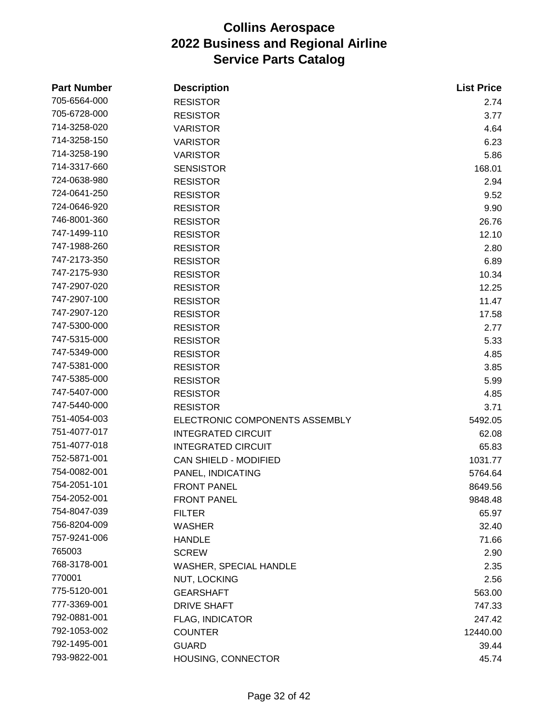| <b>Part Number</b> | <b>Description</b>             | <b>List Price</b> |
|--------------------|--------------------------------|-------------------|
| 705-6564-000       | <b>RESISTOR</b>                | 2.74              |
| 705-6728-000       | <b>RESISTOR</b>                | 3.77              |
| 714-3258-020       | <b>VARISTOR</b>                | 4.64              |
| 714-3258-150       | <b>VARISTOR</b>                | 6.23              |
| 714-3258-190       | <b>VARISTOR</b>                | 5.86              |
| 714-3317-660       | <b>SENSISTOR</b>               | 168.01            |
| 724-0638-980       | <b>RESISTOR</b>                | 2.94              |
| 724-0641-250       | <b>RESISTOR</b>                | 9.52              |
| 724-0646-920       | <b>RESISTOR</b>                | 9.90              |
| 746-8001-360       | <b>RESISTOR</b>                | 26.76             |
| 747-1499-110       | <b>RESISTOR</b>                | 12.10             |
| 747-1988-260       | <b>RESISTOR</b>                | 2.80              |
| 747-2173-350       | <b>RESISTOR</b>                | 6.89              |
| 747-2175-930       | <b>RESISTOR</b>                | 10.34             |
| 747-2907-020       | <b>RESISTOR</b>                | 12.25             |
| 747-2907-100       | <b>RESISTOR</b>                | 11.47             |
| 747-2907-120       | <b>RESISTOR</b>                | 17.58             |
| 747-5300-000       | <b>RESISTOR</b>                | 2.77              |
| 747-5315-000       | <b>RESISTOR</b>                | 5.33              |
| 747-5349-000       | <b>RESISTOR</b>                | 4.85              |
| 747-5381-000       | <b>RESISTOR</b>                | 3.85              |
| 747-5385-000       | <b>RESISTOR</b>                | 5.99              |
| 747-5407-000       | <b>RESISTOR</b>                | 4.85              |
| 747-5440-000       | <b>RESISTOR</b>                | 3.71              |
| 751-4054-003       | ELECTRONIC COMPONENTS ASSEMBLY | 5492.05           |
| 751-4077-017       | <b>INTEGRATED CIRCUIT</b>      | 62.08             |
| 751-4077-018       | <b>INTEGRATED CIRCUIT</b>      | 65.83             |
| 752-5871-001       | <b>CAN SHIELD - MODIFIED</b>   | 1031.77           |
| 754-0082-001       | PANEL, INDICATING              | 5764.64           |
| 754-2051-101       | <b>FRONT PANEL</b>             | 8649.56           |
| 754-2052-001       | <b>FRONT PANEL</b>             | 9848.48           |
| 754-8047-039       | <b>FILTER</b>                  | 65.97             |
| 756-8204-009       | <b>WASHER</b>                  | 32.40             |
| 757-9241-006       | <b>HANDLE</b>                  | 71.66             |
| 765003             | <b>SCREW</b>                   | 2.90              |
| 768-3178-001       | <b>WASHER, SPECIAL HANDLE</b>  | 2.35              |
| 770001             | <b>NUT, LOCKING</b>            | 2.56              |
| 775-5120-001       | <b>GEARSHAFT</b>               | 563.00            |
| 777-3369-001       | <b>DRIVE SHAFT</b>             | 747.33            |
| 792-0881-001       | <b>FLAG, INDICATOR</b>         | 247.42            |
| 792-1053-002       | <b>COUNTER</b>                 | 12440.00          |
| 792-1495-001       | <b>GUARD</b>                   | 39.44             |
| 793-9822-001       | HOUSING, CONNECTOR             | 45.74             |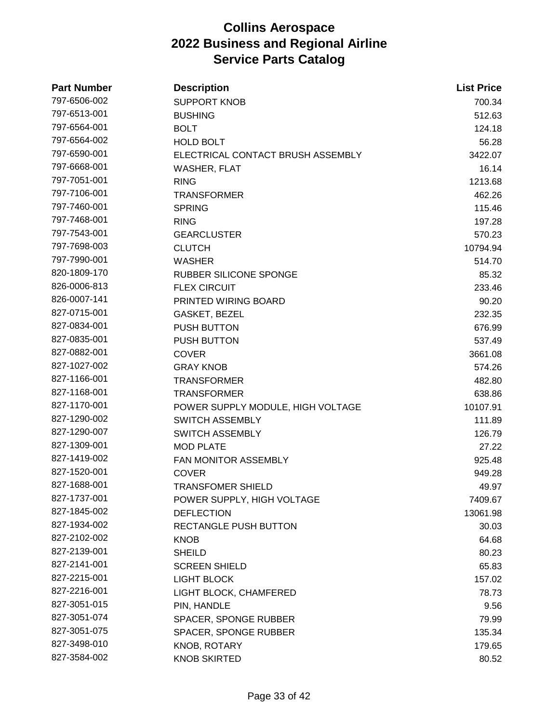| <b>Part Number</b> | <b>Description</b>                | <b>List Price</b> |
|--------------------|-----------------------------------|-------------------|
| 797-6506-002       | <b>SUPPORT KNOB</b>               | 700.34            |
| 797-6513-001       | <b>BUSHING</b>                    | 512.63            |
| 797-6564-001       | <b>BOLT</b>                       | 124.18            |
| 797-6564-002       | <b>HOLD BOLT</b>                  | 56.28             |
| 797-6590-001       | ELECTRICAL CONTACT BRUSH ASSEMBLY | 3422.07           |
| 797-6668-001       | <b>WASHER, FLAT</b>               | 16.14             |
| 797-7051-001       | <b>RING</b>                       | 1213.68           |
| 797-7106-001       | <b>TRANSFORMER</b>                | 462.26            |
| 797-7460-001       | <b>SPRING</b>                     | 115.46            |
| 797-7468-001       | <b>RING</b>                       | 197.28            |
| 797-7543-001       | <b>GEARCLUSTER</b>                | 570.23            |
| 797-7698-003       | <b>CLUTCH</b>                     | 10794.94          |
| 797-7990-001       | <b>WASHER</b>                     | 514.70            |
| 820-1809-170       | <b>RUBBER SILICONE SPONGE</b>     | 85.32             |
| 826-0006-813       | <b>FLEX CIRCUIT</b>               | 233.46            |
| 826-0007-141       | PRINTED WIRING BOARD              | 90.20             |
| 827-0715-001       | GASKET, BEZEL                     | 232.35            |
| 827-0834-001       | PUSH BUTTON                       | 676.99            |
| 827-0835-001       | <b>PUSH BUTTON</b>                | 537.49            |
| 827-0882-001       | <b>COVER</b>                      | 3661.08           |
| 827-1027-002       | <b>GRAY KNOB</b>                  | 574.26            |
| 827-1166-001       | <b>TRANSFORMER</b>                | 482.80            |
| 827-1168-001       | <b>TRANSFORMER</b>                | 638.86            |
| 827-1170-001       | POWER SUPPLY MODULE, HIGH VOLTAGE | 10107.91          |
| 827-1290-002       | <b>SWITCH ASSEMBLY</b>            | 111.89            |
| 827-1290-007       | <b>SWITCH ASSEMBLY</b>            | 126.79            |
| 827-1309-001       | <b>MOD PLATE</b>                  | 27.22             |
| 827-1419-002       | FAN MONITOR ASSEMBLY              | 925.48            |
| 827-1520-001       | <b>COVER</b>                      | 949.28            |
| 827-1688-001       | <b>TRANSFOMER SHIELD</b>          | 49.97             |
| 827-1737-001       | POWER SUPPLY, HIGH VOLTAGE        | 7409.67           |
| 827-1845-002       | <b>DEFLECTION</b>                 | 13061.98          |
| 827-1934-002       | <b>RECTANGLE PUSH BUTTON</b>      | 30.03             |
| 827-2102-002       | <b>KNOB</b>                       | 64.68             |
| 827-2139-001       | <b>SHEILD</b>                     | 80.23             |
| 827-2141-001       | <b>SCREEN SHIELD</b>              | 65.83             |
| 827-2215-001       | <b>LIGHT BLOCK</b>                | 157.02            |
| 827-2216-001       | LIGHT BLOCK, CHAMFERED            | 78.73             |
| 827-3051-015       | PIN, HANDLE                       | 9.56              |
| 827-3051-074       | SPACER, SPONGE RUBBER             | 79.99             |
| 827-3051-075       | SPACER, SPONGE RUBBER             | 135.34            |
| 827-3498-010       | KNOB, ROTARY                      | 179.65            |
| 827-3584-002       | <b>KNOB SKIRTED</b>               | 80.52             |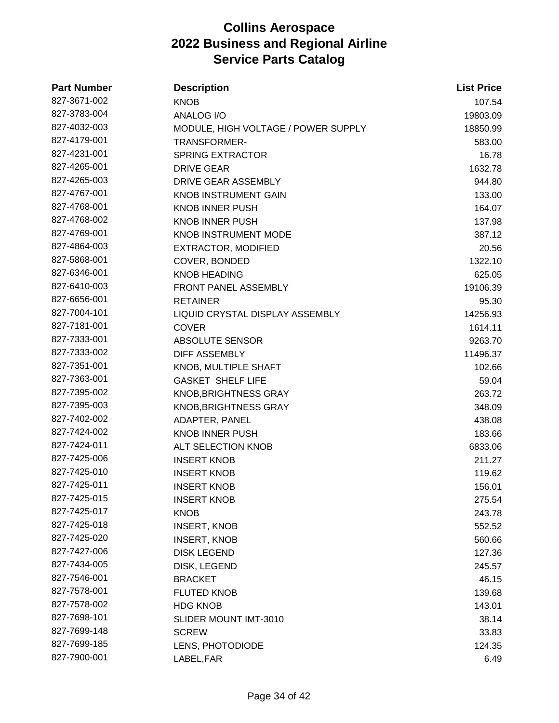| <b>Part Number</b> | <b>Description</b>                  | <b>List Price</b> |
|--------------------|-------------------------------------|-------------------|
| 827-3671-002       | <b>KNOB</b>                         | 107.54            |
| 827-3783-004       | <b>ANALOG I/O</b>                   | 19803.09          |
| 827-4032-003       | MODULE, HIGH VOLTAGE / POWER SUPPLY | 18850.99          |
| 827-4179-001       | TRANSFORMER-                        | 583.00            |
| 827-4231-001       | <b>SPRING EXTRACTOR</b>             | 16.78             |
| 827-4265-001       | <b>DRIVE GEAR</b>                   | 1632.78           |
| 827-4265-003       | DRIVE GEAR ASSEMBLY                 | 944.80            |
| 827-4767-001       | <b>KNOB INSTRUMENT GAIN</b>         | 133.00            |
| 827-4768-001       | <b>KNOB INNER PUSH</b>              | 164.07            |
| 827-4768-002       | <b>KNOB INNER PUSH</b>              | 137.98            |
| 827-4769-001       | <b>KNOB INSTRUMENT MODE</b>         | 387.12            |
| 827-4864-003       | <b>EXTRACTOR, MODIFIED</b>          | 20.56             |
| 827-5868-001       | COVER, BONDED                       | 1322.10           |
| 827-6346-001       | <b>KNOB HEADING</b>                 | 625.05            |
| 827-6410-003       | FRONT PANEL ASSEMBLY                | 19106.39          |
| 827-6656-001       | <b>RETAINER</b>                     | 95.30             |
| 827-7004-101       | LIQUID CRYSTAL DISPLAY ASSEMBLY     | 14256.93          |
| 827-7181-001       | <b>COVER</b>                        | 1614.11           |
| 827-7333-001       | ABSOLUTE SENSOR                     | 9263.70           |
| 827-7333-002       | <b>DIFF ASSEMBLY</b>                | 11496.37          |
| 827-7351-001       | KNOB, MULTIPLE SHAFT                | 102.66            |
| 827-7363-001       | <b>GASKET SHELF LIFE</b>            | 59.04             |
| 827-7395-002       | <b>KNOB, BRIGHTNESS GRAY</b>        | 263.72            |
| 827-7395-003       | <b>KNOB, BRIGHTNESS GRAY</b>        | 348.09            |
| 827-7402-002       | ADAPTER, PANEL                      | 438.08            |
| 827-7424-002       | <b>KNOB INNER PUSH</b>              | 183.66            |
| 827-7424-011       | ALT SELECTION KNOB                  | 6833.06           |
| 827-7425-006       | <b>INSERT KNOB</b>                  | 211.27            |
| 827-7425-010       | <b>INSERT KNOB</b>                  | 119.62            |
| 827-7425-011       | <b>INSERT KNOB</b>                  | 156.01            |
| 827-7425-015       | <b>INSERT KNOB</b>                  | 275.54            |
| 827-7425-017       | <b>KNOB</b>                         | 243.78            |
| 827-7425-018       | <b>INSERT, KNOB</b>                 | 552.52            |
| 827-7425-020       | <b>INSERT, KNOB</b>                 | 560.66            |
| 827-7427-006       | <b>DISK LEGEND</b>                  | 127.36            |
| 827-7434-005       | DISK, LEGEND                        | 245.57            |
| 827-7546-001       | <b>BRACKET</b>                      | 46.15             |
| 827-7578-001       | <b>FLUTED KNOB</b>                  | 139.68            |
| 827-7578-002       | <b>HDG KNOB</b>                     | 143.01            |
| 827-7698-101       | SLIDER MOUNT IMT-3010               | 38.14             |
| 827-7699-148       | <b>SCREW</b>                        | 33.83             |
| 827-7699-185       | LENS, PHOTODIODE                    | 124.35            |
| 827-7900-001       | LABEL, FAR                          | 6.49              |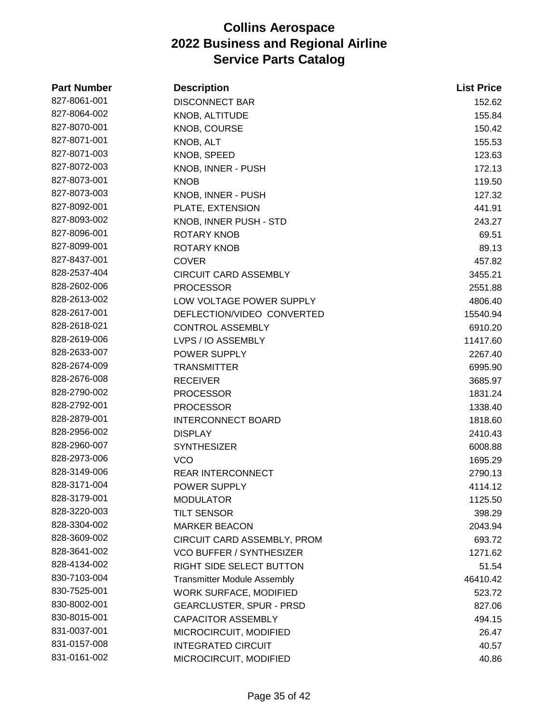| <b>Part Number</b> | <b>Description</b>                 | <b>List Price</b> |
|--------------------|------------------------------------|-------------------|
| 827-8061-001       | <b>DISCONNECT BAR</b>              | 152.62            |
| 827-8064-002       | KNOB, ALTITUDE                     | 155.84            |
| 827-8070-001       | <b>KNOB, COURSE</b>                | 150.42            |
| 827-8071-001       | KNOB, ALT                          | 155.53            |
| 827-8071-003       | KNOB, SPEED                        | 123.63            |
| 827-8072-003       | KNOB, INNER - PUSH                 | 172.13            |
| 827-8073-001       | <b>KNOB</b>                        | 119.50            |
| 827-8073-003       | KNOB, INNER - PUSH                 | 127.32            |
| 827-8092-001       | PLATE, EXTENSION                   | 441.91            |
| 827-8093-002       | KNOB, INNER PUSH - STD             | 243.27            |
| 827-8096-001       | ROTARY KNOB                        | 69.51             |
| 827-8099-001       | ROTARY KNOB                        | 89.13             |
| 827-8437-001       | <b>COVER</b>                       | 457.82            |
| 828-2537-404       | <b>CIRCUIT CARD ASSEMBLY</b>       | 3455.21           |
| 828-2602-006       | <b>PROCESSOR</b>                   | 2551.88           |
| 828-2613-002       | LOW VOLTAGE POWER SUPPLY           | 4806.40           |
| 828-2617-001       | DEFLECTION/VIDEO CONVERTED         | 15540.94          |
| 828-2618-021       | <b>CONTROL ASSEMBLY</b>            | 6910.20           |
| 828-2619-006       | LVPS / IO ASSEMBLY                 | 11417.60          |
| 828-2633-007       | POWER SUPPLY                       | 2267.40           |
| 828-2674-009       | <b>TRANSMITTER</b>                 | 6995.90           |
| 828-2676-008       | <b>RECEIVER</b>                    | 3685.97           |
| 828-2790-002       | <b>PROCESSOR</b>                   | 1831.24           |
| 828-2792-001       | <b>PROCESSOR</b>                   | 1338.40           |
| 828-2879-001       | <b>INTERCONNECT BOARD</b>          | 1818.60           |
| 828-2956-002       | <b>DISPLAY</b>                     | 2410.43           |
| 828-2960-007       | <b>SYNTHESIZER</b>                 | 6008.88           |
| 828-2973-006       | <b>VCO</b>                         | 1695.29           |
| 828-3149-006       | <b>REAR INTERCONNECT</b>           | 2790.13           |
| 828-3171-004       | POWER SUPPLY                       | 4114.12           |
| 828-3179-001       | <b>MODULATOR</b>                   | 1125.50           |
| 828-3220-003       | <b>TILT SENSOR</b>                 | 398.29            |
| 828-3304-002       | <b>MARKER BEACON</b>               | 2043.94           |
| 828-3609-002       | CIRCUIT CARD ASSEMBLY, PROM        | 693.72            |
| 828-3641-002       | <b>VCO BUFFER / SYNTHESIZER</b>    | 1271.62           |
| 828-4134-002       | RIGHT SIDE SELECT BUTTON           | 51.54             |
| 830-7103-004       | <b>Transmitter Module Assembly</b> | 46410.42          |
| 830-7525-001       | <b>WORK SURFACE, MODIFIED</b>      | 523.72            |
| 830-8002-001       | <b>GEARCLUSTER, SPUR - PRSD</b>    | 827.06            |
| 830-8015-001       | <b>CAPACITOR ASSEMBLY</b>          | 494.15            |
| 831-0037-001       | MICROCIRCUIT, MODIFIED             | 26.47             |
| 831-0157-008       | <b>INTEGRATED CIRCUIT</b>          | 40.57             |
| 831-0161-002       | MICROCIRCUIT, MODIFIED             | 40.86             |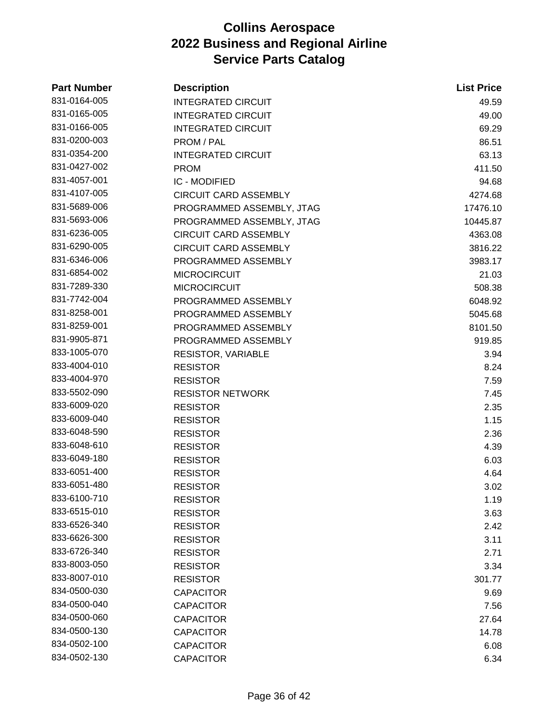| <b>Part Number</b> | <b>Description</b>           | <b>List Price</b> |
|--------------------|------------------------------|-------------------|
| 831-0164-005       | <b>INTEGRATED CIRCUIT</b>    | 49.59             |
| 831-0165-005       | <b>INTEGRATED CIRCUIT</b>    | 49.00             |
| 831-0166-005       | <b>INTEGRATED CIRCUIT</b>    | 69.29             |
| 831-0200-003       | PROM / PAL                   | 86.51             |
| 831-0354-200       | <b>INTEGRATED CIRCUIT</b>    | 63.13             |
| 831-0427-002       | <b>PROM</b>                  | 411.50            |
| 831-4057-001       | <b>IC - MODIFIED</b>         | 94.68             |
| 831-4107-005       | CIRCUIT CARD ASSEMBLY        | 4274.68           |
| 831-5689-006       | PROGRAMMED ASSEMBLY, JTAG    | 17476.10          |
| 831-5693-006       | PROGRAMMED ASSEMBLY, JTAG    | 10445.87          |
| 831-6236-005       | <b>CIRCUIT CARD ASSEMBLY</b> | 4363.08           |
| 831-6290-005       | <b>CIRCUIT CARD ASSEMBLY</b> | 3816.22           |
| 831-6346-006       | PROGRAMMED ASSEMBLY          | 3983.17           |
| 831-6854-002       | <b>MICROCIRCUIT</b>          | 21.03             |
| 831-7289-330       | <b>MICROCIRCUIT</b>          | 508.38            |
| 831-7742-004       | PROGRAMMED ASSEMBLY          | 6048.92           |
| 831-8258-001       | PROGRAMMED ASSEMBLY          | 5045.68           |
| 831-8259-001       | PROGRAMMED ASSEMBLY          | 8101.50           |
| 831-9905-871       | PROGRAMMED ASSEMBLY          | 919.85            |
| 833-1005-070       | <b>RESISTOR, VARIABLE</b>    | 3.94              |
| 833-4004-010       | <b>RESISTOR</b>              | 8.24              |
| 833-4004-970       | <b>RESISTOR</b>              | 7.59              |
| 833-5502-090       | <b>RESISTOR NETWORK</b>      | 7.45              |
| 833-6009-020       | <b>RESISTOR</b>              | 2.35              |
| 833-6009-040       | <b>RESISTOR</b>              | 1.15              |
| 833-6048-590       | <b>RESISTOR</b>              | 2.36              |
| 833-6048-610       | <b>RESISTOR</b>              | 4.39              |
| 833-6049-180       | <b>RESISTOR</b>              | 6.03              |
| 833-6051-400       | <b>RESISTOR</b>              | 4.64              |
| 833-6051-480       | <b>RESISTOR</b>              | 3.02              |
| 833-6100-710       | <b>RESISTOR</b>              | 1.19              |
| 833-6515-010       | <b>RESISTOR</b>              | 3.63              |
| 833-6526-340       | <b>RESISTOR</b>              | 2.42              |
| 833-6626-300       | <b>RESISTOR</b>              | 3.11              |
| 833-6726-340       | <b>RESISTOR</b>              | 2.71              |
| 833-8003-050       | <b>RESISTOR</b>              | 3.34              |
| 833-8007-010       | <b>RESISTOR</b>              | 301.77            |
| 834-0500-030       | <b>CAPACITOR</b>             | 9.69              |
| 834-0500-040       | <b>CAPACITOR</b>             | 7.56              |
| 834-0500-060       | <b>CAPACITOR</b>             | 27.64             |
| 834-0500-130       | <b>CAPACITOR</b>             | 14.78             |
| 834-0502-100       | <b>CAPACITOR</b>             | 6.08              |
| 834-0502-130       | <b>CAPACITOR</b>             | 6.34              |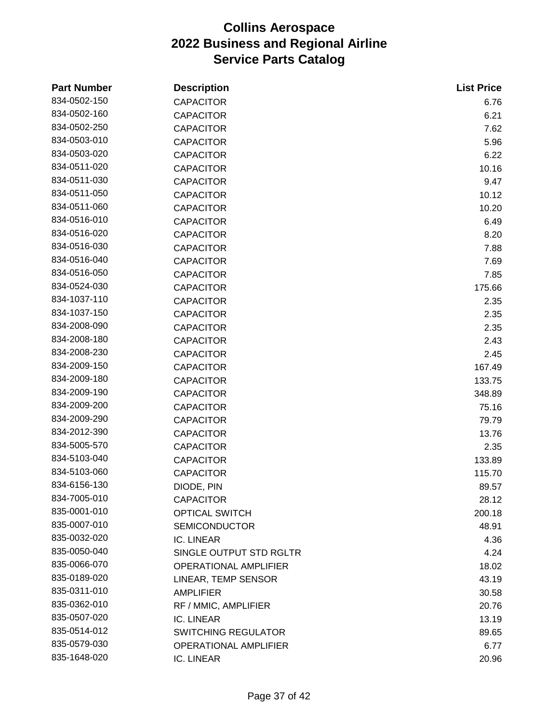| <b>Part Number</b> | <b>Description</b>           | <b>List Price</b> |
|--------------------|------------------------------|-------------------|
| 834-0502-150       | <b>CAPACITOR</b>             | 6.76              |
| 834-0502-160       | <b>CAPACITOR</b>             | 6.21              |
| 834-0502-250       | <b>CAPACITOR</b>             | 7.62              |
| 834-0503-010       | <b>CAPACITOR</b>             | 5.96              |
| 834-0503-020       | <b>CAPACITOR</b>             | 6.22              |
| 834-0511-020       | <b>CAPACITOR</b>             | 10.16             |
| 834-0511-030       | <b>CAPACITOR</b>             | 9.47              |
| 834-0511-050       | <b>CAPACITOR</b>             | 10.12             |
| 834-0511-060       | <b>CAPACITOR</b>             | 10.20             |
| 834-0516-010       | <b>CAPACITOR</b>             | 6.49              |
| 834-0516-020       | <b>CAPACITOR</b>             | 8.20              |
| 834-0516-030       | <b>CAPACITOR</b>             | 7.88              |
| 834-0516-040       | <b>CAPACITOR</b>             | 7.69              |
| 834-0516-050       | <b>CAPACITOR</b>             | 7.85              |
| 834-0524-030       | <b>CAPACITOR</b>             | 175.66            |
| 834-1037-110       | <b>CAPACITOR</b>             | 2.35              |
| 834-1037-150       | <b>CAPACITOR</b>             | 2.35              |
| 834-2008-090       | <b>CAPACITOR</b>             | 2.35              |
| 834-2008-180       | <b>CAPACITOR</b>             | 2.43              |
| 834-2008-230       | <b>CAPACITOR</b>             | 2.45              |
| 834-2009-150       | <b>CAPACITOR</b>             | 167.49            |
| 834-2009-180       | <b>CAPACITOR</b>             | 133.75            |
| 834-2009-190       | <b>CAPACITOR</b>             | 348.89            |
| 834-2009-200       | <b>CAPACITOR</b>             | 75.16             |
| 834-2009-290       | <b>CAPACITOR</b>             | 79.79             |
| 834-2012-390       | <b>CAPACITOR</b>             | 13.76             |
| 834-5005-570       | <b>CAPACITOR</b>             | 2.35              |
| 834-5103-040       | <b>CAPACITOR</b>             | 133.89            |
| 834-5103-060       | <b>CAPACITOR</b>             | 115.70            |
| 834-6156-130       | DIODE, PIN                   | 89.57             |
| 834-7005-010       | <b>CAPACITOR</b>             | 28.12             |
| 835-0001-010       | <b>OPTICAL SWITCH</b>        | 200.18            |
| 835-0007-010       | <b>SEMICONDUCTOR</b>         | 48.91             |
| 835-0032-020       | IC. LINEAR                   | 4.36              |
| 835-0050-040       | SINGLE OUTPUT STD RGLTR      | 4.24              |
| 835-0066-070       | OPERATIONAL AMPLIFIER        | 18.02             |
| 835-0189-020       | LINEAR, TEMP SENSOR          | 43.19             |
| 835-0311-010       | <b>AMPLIFIER</b>             | 30.58             |
| 835-0362-010       | RF / MMIC, AMPLIFIER         | 20.76             |
| 835-0507-020       | IC. LINEAR                   | 13.19             |
| 835-0514-012       | <b>SWITCHING REGULATOR</b>   | 89.65             |
| 835-0579-030       | <b>OPERATIONAL AMPLIFIER</b> | 6.77              |
| 835-1648-020       | IC. LINEAR                   | 20.96             |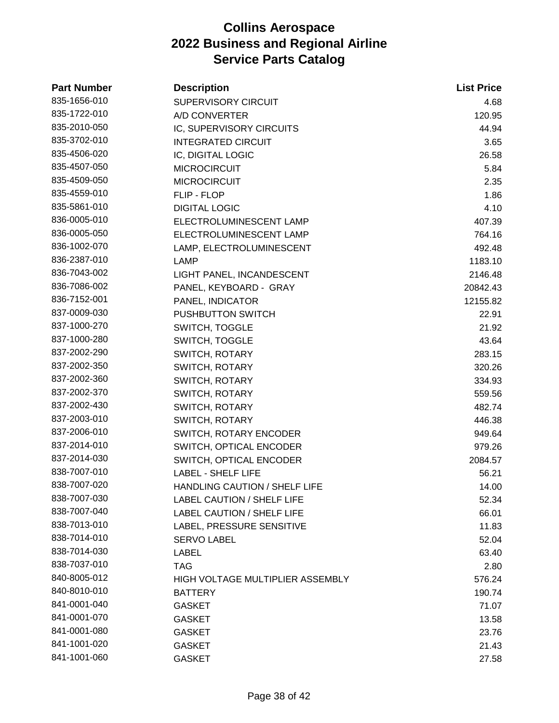| <b>Part Number</b> | <b>Description</b>                      | <b>List Price</b> |
|--------------------|-----------------------------------------|-------------------|
| 835-1656-010       | SUPERVISORY CIRCUIT                     | 4.68              |
| 835-1722-010       | A/D CONVERTER                           | 120.95            |
| 835-2010-050       | IC, SUPERVISORY CIRCUITS                | 44.94             |
| 835-3702-010       | <b>INTEGRATED CIRCUIT</b>               | 3.65              |
| 835-4506-020       | IC, DIGITAL LOGIC                       | 26.58             |
| 835-4507-050       | <b>MICROCIRCUIT</b>                     | 5.84              |
| 835-4509-050       | <b>MICROCIRCUIT</b>                     | 2.35              |
| 835-4559-010       | FLIP - FLOP                             | 1.86              |
| 835-5861-010       | <b>DIGITAL LOGIC</b>                    | 4.10              |
| 836-0005-010       | ELECTROLUMINESCENT LAMP                 | 407.39            |
| 836-0005-050       | ELECTROLUMINESCENT LAMP                 | 764.16            |
| 836-1002-070       | LAMP, ELECTROLUMINESCENT                | 492.48            |
| 836-2387-010       | <b>LAMP</b>                             | 1183.10           |
| 836-7043-002       | LIGHT PANEL, INCANDESCENT               | 2146.48           |
| 836-7086-002       | PANEL, KEYBOARD - GRAY                  | 20842.43          |
| 836-7152-001       | PANEL, INDICATOR                        | 12155.82          |
| 837-0009-030       | <b>PUSHBUTTON SWITCH</b>                | 22.91             |
| 837-1000-270       | <b>SWITCH, TOGGLE</b>                   | 21.92             |
| 837-1000-280       | SWITCH, TOGGLE                          | 43.64             |
| 837-2002-290       | <b>SWITCH, ROTARY</b>                   | 283.15            |
| 837-2002-350       | SWITCH, ROTARY                          | 320.26            |
| 837-2002-360       | SWITCH, ROTARY                          | 334.93            |
| 837-2002-370       | <b>SWITCH, ROTARY</b>                   | 559.56            |
| 837-2002-430       | <b>SWITCH, ROTARY</b>                   | 482.74            |
| 837-2003-010       | SWITCH, ROTARY                          | 446.38            |
| 837-2006-010       | SWITCH, ROTARY ENCODER                  | 949.64            |
| 837-2014-010       | SWITCH, OPTICAL ENCODER                 | 979.26            |
| 837-2014-030       | SWITCH, OPTICAL ENCODER                 | 2084.57           |
| 838-7007-010       | <b>LABEL - SHELF LIFE</b>               | 56.21             |
| 838-7007-020       | HANDLING CAUTION / SHELF LIFE           | 14.00             |
| 838-7007-030       | <b>LABEL CAUTION / SHELF LIFE</b>       | 52.34             |
| 838-7007-040       | <b>LABEL CAUTION / SHELF LIFE</b>       | 66.01             |
| 838-7013-010       | LABEL, PRESSURE SENSITIVE               | 11.83             |
| 838-7014-010       | <b>SERVO LABEL</b>                      | 52.04             |
| 838-7014-030       | LABEL                                   | 63.40             |
| 838-7037-010       | <b>TAG</b>                              | 2.80              |
| 840-8005-012       | <b>HIGH VOLTAGE MULTIPLIER ASSEMBLY</b> | 576.24            |
| 840-8010-010       | <b>BATTERY</b>                          | 190.74            |
| 841-0001-040       | <b>GASKET</b>                           | 71.07             |
| 841-0001-070       | <b>GASKET</b>                           | 13.58             |
| 841-0001-080       | <b>GASKET</b>                           | 23.76             |
| 841-1001-020       | <b>GASKET</b>                           | 21.43             |
| 841-1001-060       | <b>GASKET</b>                           | 27.58             |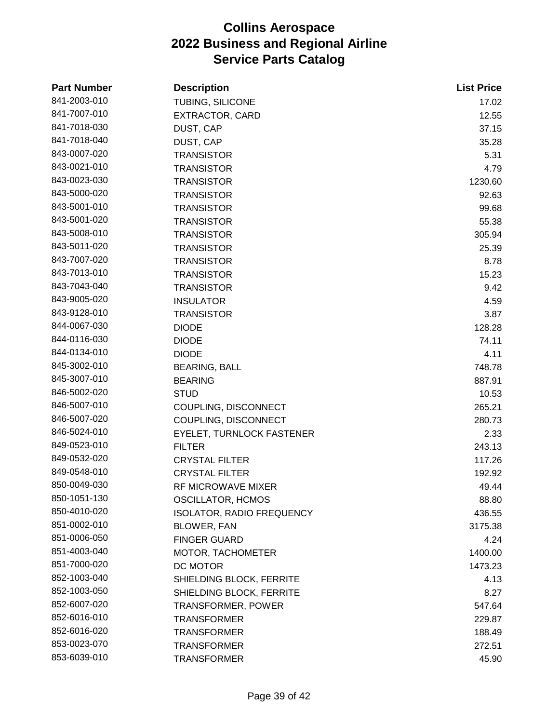| <b>Part Number</b> | <b>Description</b>               | <b>List Price</b> |
|--------------------|----------------------------------|-------------------|
| 841-2003-010       | TUBING, SILICONE                 | 17.02             |
| 841-7007-010       | EXTRACTOR, CARD                  | 12.55             |
| 841-7018-030       | DUST, CAP                        | 37.15             |
| 841-7018-040       | DUST, CAP                        | 35.28             |
| 843-0007-020       | <b>TRANSISTOR</b>                | 5.31              |
| 843-0021-010       | <b>TRANSISTOR</b>                | 4.79              |
| 843-0023-030       | <b>TRANSISTOR</b>                | 1230.60           |
| 843-5000-020       | <b>TRANSISTOR</b>                | 92.63             |
| 843-5001-010       | <b>TRANSISTOR</b>                | 99.68             |
| 843-5001-020       | <b>TRANSISTOR</b>                | 55.38             |
| 843-5008-010       | <b>TRANSISTOR</b>                | 305.94            |
| 843-5011-020       | <b>TRANSISTOR</b>                | 25.39             |
| 843-7007-020       | <b>TRANSISTOR</b>                | 8.78              |
| 843-7013-010       | <b>TRANSISTOR</b>                | 15.23             |
| 843-7043-040       | <b>TRANSISTOR</b>                | 9.42              |
| 843-9005-020       | <b>INSULATOR</b>                 | 4.59              |
| 843-9128-010       | <b>TRANSISTOR</b>                | 3.87              |
| 844-0067-030       | <b>DIODE</b>                     | 128.28            |
| 844-0116-030       | <b>DIODE</b>                     | 74.11             |
| 844-0134-010       | <b>DIODE</b>                     | 4.11              |
| 845-3002-010       | <b>BEARING, BALL</b>             | 748.78            |
| 845-3007-010       | <b>BEARING</b>                   | 887.91            |
| 846-5002-020       | <b>STUD</b>                      | 10.53             |
| 846-5007-010       | COUPLING, DISCONNECT             | 265.21            |
| 846-5007-020       | COUPLING, DISCONNECT             | 280.73            |
| 846-5024-010       | EYELET, TURNLOCK FASTENER        | 2.33              |
| 849-0523-010       | <b>FILTER</b>                    | 243.13            |
| 849-0532-020       | <b>CRYSTAL FILTER</b>            | 117.26            |
| 849-0548-010       | <b>CRYSTAL FILTER</b>            | 192.92            |
| 850-0049-030       | <b>RF MICROWAVE MIXER</b>        | 49.44             |
| 850-1051-130       | <b>OSCILLATOR, HCMOS</b>         | 88.80             |
| 850-4010-020       | <b>ISOLATOR, RADIO FREQUENCY</b> | 436.55            |
| 851-0002-010       | <b>BLOWER, FAN</b>               | 3175.38           |
| 851-0006-050       | <b>FINGER GUARD</b>              | 4.24              |
| 851-4003-040       | MOTOR, TACHOMETER                | 1400.00           |
| 851-7000-020       | DC MOTOR                         | 1473.23           |
| 852-1003-040       | SHIELDING BLOCK, FERRITE         | 4.13              |
| 852-1003-050       | SHIELDING BLOCK, FERRITE         | 8.27              |
| 852-6007-020       | <b>TRANSFORMER, POWER</b>        | 547.64            |
| 852-6016-010       | <b>TRANSFORMER</b>               | 229.87            |
| 852-6016-020       | <b>TRANSFORMER</b>               | 188.49            |
| 853-0023-070       | <b>TRANSFORMER</b>               | 272.51            |
| 853-6039-010       | <b>TRANSFORMER</b>               | 45.90             |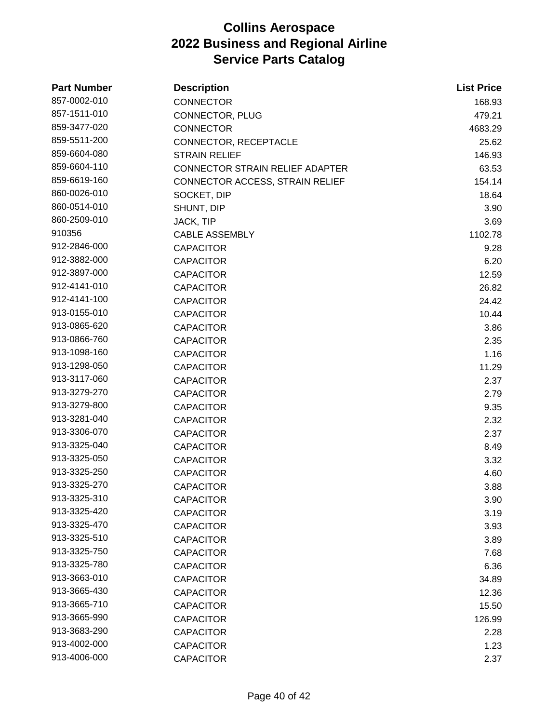| <b>Part Number</b> | <b>Description</b>                     | <b>List Price</b> |
|--------------------|----------------------------------------|-------------------|
| 857-0002-010       | <b>CONNECTOR</b>                       | 168.93            |
| 857-1511-010       | CONNECTOR, PLUG                        | 479.21            |
| 859-3477-020       | <b>CONNECTOR</b>                       | 4683.29           |
| 859-5511-200       | CONNECTOR, RECEPTACLE                  | 25.62             |
| 859-6604-080       | <b>STRAIN RELIEF</b>                   | 146.93            |
| 859-6604-110       | <b>CONNECTOR STRAIN RELIEF ADAPTER</b> | 63.53             |
| 859-6619-160       | CONNECTOR ACCESS, STRAIN RELIEF        | 154.14            |
| 860-0026-010       | SOCKET, DIP                            | 18.64             |
| 860-0514-010       | SHUNT, DIP                             | 3.90              |
| 860-2509-010       | JACK, TIP                              | 3.69              |
| 910356             | <b>CABLE ASSEMBLY</b>                  | 1102.78           |
| 912-2846-000       | <b>CAPACITOR</b>                       | 9.28              |
| 912-3882-000       | <b>CAPACITOR</b>                       | 6.20              |
| 912-3897-000       | <b>CAPACITOR</b>                       | 12.59             |
| 912-4141-010       | <b>CAPACITOR</b>                       | 26.82             |
| 912-4141-100       | <b>CAPACITOR</b>                       | 24.42             |
| 913-0155-010       | <b>CAPACITOR</b>                       | 10.44             |
| 913-0865-620       | <b>CAPACITOR</b>                       | 3.86              |
| 913-0866-760       | <b>CAPACITOR</b>                       | 2.35              |
| 913-1098-160       | <b>CAPACITOR</b>                       | 1.16              |
| 913-1298-050       | <b>CAPACITOR</b>                       | 11.29             |
| 913-3117-060       | <b>CAPACITOR</b>                       | 2.37              |
| 913-3279-270       | <b>CAPACITOR</b>                       | 2.79              |
| 913-3279-800       | <b>CAPACITOR</b>                       | 9.35              |
| 913-3281-040       | <b>CAPACITOR</b>                       | 2.32              |
| 913-3306-070       | <b>CAPACITOR</b>                       | 2.37              |
| 913-3325-040       | <b>CAPACITOR</b>                       | 8.49              |
| 913-3325-050       | <b>CAPACITOR</b>                       | 3.32              |
| 913-3325-250       | <b>CAPACITOR</b>                       | 4.60              |
| 913-3325-270       | CAPACITOR                              | 3.88              |
| 913-3325-310       | <b>CAPACITOR</b>                       | 3.90              |
| 913-3325-420       | <b>CAPACITOR</b>                       | 3.19              |
| 913-3325-470       | <b>CAPACITOR</b>                       | 3.93              |
| 913-3325-510       | <b>CAPACITOR</b>                       | 3.89              |
| 913-3325-750       | <b>CAPACITOR</b>                       | 7.68              |
| 913-3325-780       | <b>CAPACITOR</b>                       | 6.36              |
| 913-3663-010       | <b>CAPACITOR</b>                       | 34.89             |
| 913-3665-430       | <b>CAPACITOR</b>                       | 12.36             |
| 913-3665-710       | <b>CAPACITOR</b>                       | 15.50             |
| 913-3665-990       | <b>CAPACITOR</b>                       | 126.99            |
| 913-3683-290       | <b>CAPACITOR</b>                       | 2.28              |
| 913-4002-000       | <b>CAPACITOR</b>                       | 1.23              |
| 913-4006-000       | <b>CAPACITOR</b>                       | 2.37              |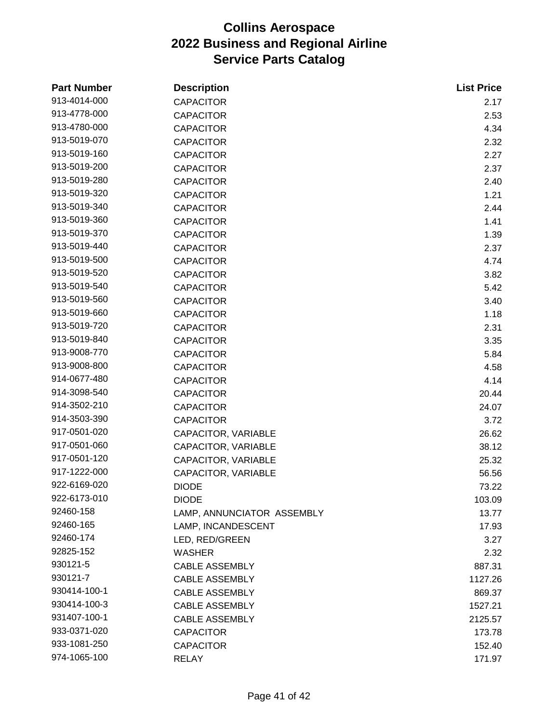| <b>Part Number</b> | <b>Description</b>         | <b>List Price</b> |
|--------------------|----------------------------|-------------------|
| 913-4014-000       | <b>CAPACITOR</b>           | 2.17              |
| 913-4778-000       | <b>CAPACITOR</b>           | 2.53              |
| 913-4780-000       | <b>CAPACITOR</b>           | 4.34              |
| 913-5019-070       | <b>CAPACITOR</b>           | 2.32              |
| 913-5019-160       | <b>CAPACITOR</b>           | 2.27              |
| 913-5019-200       | <b>CAPACITOR</b>           | 2.37              |
| 913-5019-280       | <b>CAPACITOR</b>           | 2.40              |
| 913-5019-320       | <b>CAPACITOR</b>           | 1.21              |
| 913-5019-340       | <b>CAPACITOR</b>           | 2.44              |
| 913-5019-360       | <b>CAPACITOR</b>           | 1.41              |
| 913-5019-370       | <b>CAPACITOR</b>           | 1.39              |
| 913-5019-440       | <b>CAPACITOR</b>           | 2.37              |
| 913-5019-500       | <b>CAPACITOR</b>           | 4.74              |
| 913-5019-520       | <b>CAPACITOR</b>           | 3.82              |
| 913-5019-540       | <b>CAPACITOR</b>           | 5.42              |
| 913-5019-560       | <b>CAPACITOR</b>           | 3.40              |
| 913-5019-660       | <b>CAPACITOR</b>           | 1.18              |
| 913-5019-720       | <b>CAPACITOR</b>           | 2.31              |
| 913-5019-840       | <b>CAPACITOR</b>           | 3.35              |
| 913-9008-770       | <b>CAPACITOR</b>           | 5.84              |
| 913-9008-800       | <b>CAPACITOR</b>           | 4.58              |
| 914-0677-480       | <b>CAPACITOR</b>           | 4.14              |
| 914-3098-540       | <b>CAPACITOR</b>           | 20.44             |
| 914-3502-210       | <b>CAPACITOR</b>           | 24.07             |
| 914-3503-390       | <b>CAPACITOR</b>           | 3.72              |
| 917-0501-020       | CAPACITOR, VARIABLE        | 26.62             |
| 917-0501-060       | CAPACITOR, VARIABLE        | 38.12             |
| 917-0501-120       | CAPACITOR, VARIABLE        | 25.32             |
| 917-1222-000       | CAPACITOR, VARIABLE        | 56.56             |
| 922-6169-020       | <b>DIODE</b>               | 73.22             |
| 922-6173-010       | <b>DIODE</b>               | 103.09            |
| 92460-158          | LAMP, ANNUNCIATOR ASSEMBLY | 13.77             |
| 92460-165          | LAMP, INCANDESCENT         | 17.93             |
| 92460-174          | LED, RED/GREEN             | 3.27              |
| 92825-152          | WASHER                     | 2.32              |
| 930121-5           | <b>CABLE ASSEMBLY</b>      | 887.31            |
| 930121-7           | <b>CABLE ASSEMBLY</b>      | 1127.26           |
| 930414-100-1       | <b>CABLE ASSEMBLY</b>      | 869.37            |
| 930414-100-3       | <b>CABLE ASSEMBLY</b>      | 1527.21           |
| 931407-100-1       | <b>CABLE ASSEMBLY</b>      | 2125.57           |
| 933-0371-020       | <b>CAPACITOR</b>           | 173.78            |
| 933-1081-250       | <b>CAPACITOR</b>           | 152.40            |
| 974-1065-100       | <b>RELAY</b>               | 171.97            |